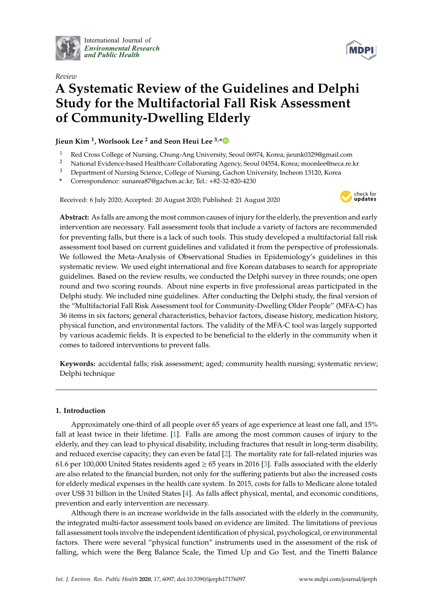

International Journal of *[Environmental Research](http://www.mdpi.com/journal/ijerph) and Public Health*



# *Review* **A Systematic Review of the Guidelines and Delphi Study for the Multifactorial Fall Risk Assessment of Community-Dwelling Elderly**

# **Jieun Kim <sup>1</sup> , Worlsook Lee <sup>2</sup> and Seon Heui Lee 3,[\\*](https://orcid.org/0000-0002-2175-9361)**

- <sup>1</sup> Red Cross College of Nursing, Chung-Ang University, Seoul 06974, Korea; jieunk0329@gmail.com
- <sup>2</sup> National Evidence-based Healthcare Collaborating Agency, Seoul 04554, Korea; moonlee@neca.re.kr
- <sup>3</sup> Department of Nursing Science, College of Nursing, Gachon University, Incheon 13120, Korea
- **\*** Correspondence: sunarea87@gachon.ac.kr; Tel.: +82-32-820-4230

Received: 6 July 2020; Accepted: 20 August 2020; Published: 21 August 2020



**Abstract:** As falls are among the most common causes of injury for the elderly, the prevention and early intervention are necessary. Fall assessment tools that include a variety of factors are recommended for preventing falls, but there is a lack of such tools. This study developed a multifactorial fall risk assessment tool based on current guidelines and validated it from the perspective of professionals. We followed the Meta-Analysis of Observational Studies in Epidemiology's guidelines in this systematic review. We used eight international and five Korean databases to search for appropriate guidelines. Based on the review results, we conducted the Delphi survey in three rounds; one open round and two scoring rounds. About nine experts in five professional areas participated in the Delphi study. We included nine guidelines. After conducting the Delphi study, the final version of the "Multifactorial Fall Risk Assessment tool for Community-Dwelling Older People" (MFA-C) has 36 items in six factors; general characteristics, behavior factors, disease history, medication history, physical function, and environmental factors. The validity of the MFA-C tool was largely supported by various academic fields. It is expected to be beneficial to the elderly in the community when it comes to tailored interventions to prevent falls.

**Keywords:** accidental falls; risk assessment; aged; community health nursing; systematic review; Delphi technique

# **1. Introduction**

Approximately one-third of all people over 65 years of age experience at least one fall, and 15% fall at least twice in their lifetime. [\[1\]](#page-22-0). Falls are among the most common causes of injury to the elderly, and they can lead to physical disability, including fractures that result in long-term disability, and reduced exercise capacity; they can even be fatal [\[2\]](#page-22-1). The mortality rate for fall-related injuries was 61.6 per 100,000 United States residents aged  $\geq$  65 years in 2016 [\[3\]](#page-22-2). Falls associated with the elderly are also related to the financial burden, not only for the suffering patients but also the increased costs for elderly medical expenses in the health care system. In 2015, costs for falls to Medicare alone totaled over US\$ 31 billion in the United States [\[4\]](#page-22-3). As falls affect physical, mental, and economic conditions, prevention and early intervention are necessary.

Although there is an increase worldwide in the falls associated with the elderly in the community, the integrated multi-factor assessment tools based on evidence are limited. The limitations of previous fall assessment tools involve the independent identification of physical, psychological, or environmental factors. There were several "physical function" instruments used in the assessment of the risk of falling, which were the Berg Balance Scale, the Timed Up and Go Test, and the Tinetti Balance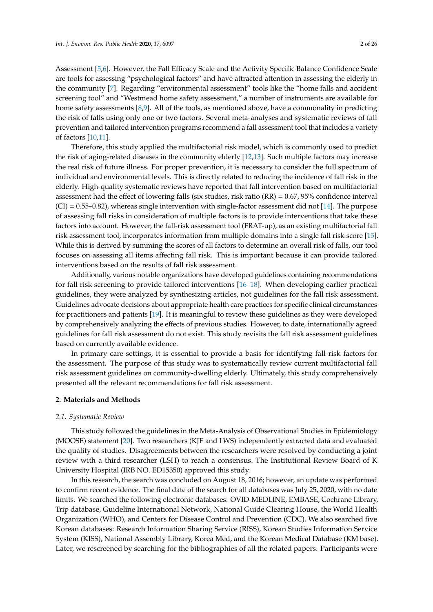Assessment [\[5](#page-22-4)[,6\]](#page-22-5). However, the Fall Efficacy Scale and the Activity Specific Balance Confidence Scale are tools for assessing "psychological factors" and have attracted attention in assessing the elderly in the community [\[7\]](#page-23-0). Regarding "environmental assessment" tools like the "home falls and accident screening tool" and "Westmead home safety assessment," a number of instruments are available for home safety assessments [\[8](#page-23-1)[,9\]](#page-23-2). All of the tools, as mentioned above, have a commonality in predicting the risk of falls using only one or two factors. Several meta-analyses and systematic reviews of fall prevention and tailored intervention programs recommend a fall assessment tool that includes a variety of factors [\[10,](#page-23-3)[11\]](#page-23-4).

Therefore, this study applied the multifactorial risk model, which is commonly used to predict the risk of aging-related diseases in the community elderly [\[12,](#page-23-5)[13\]](#page-23-6). Such multiple factors may increase the real risk of future illness. For proper prevention, it is necessary to consider the full spectrum of individual and environmental levels. This is directly related to reducing the incidence of fall risk in the elderly. High-quality systematic reviews have reported that fall intervention based on multifactorial assessment had the effect of lowering falls (six studies, risk ratio  $(RR) = 0.67$ , 95% confidence interval  $(CI) = 0.55-0.82$ , whereas single intervention with single-factor assessment did not [\[14\]](#page-23-7). The purpose of assessing fall risks in consideration of multiple factors is to provide interventions that take these factors into account. However, the fall-risk assessment tool (FRAT-up), as an existing multifactorial fall risk assessment tool, incorporates information from multiple domains into a single fall risk score [\[15\]](#page-23-8). While this is derived by summing the scores of all factors to determine an overall risk of falls, our tool focuses on assessing all items affecting fall risk. This is important because it can provide tailored interventions based on the results of fall risk assessment.

Additionally, various notable organizations have developed guidelines containing recommendations for fall risk screening to provide tailored interventions [\[16](#page-23-9)[–18\]](#page-23-10). When developing earlier practical guidelines, they were analyzed by synthesizing articles, not guidelines for the fall risk assessment. Guidelines advocate decisions about appropriate health care practices for specific clinical circumstances for practitioners and patients [\[19\]](#page-23-11). It is meaningful to review these guidelines as they were developed by comprehensively analyzing the effects of previous studies. However, to date, internationally agreed guidelines for fall risk assessment do not exist. This study revisits the fall risk assessment guidelines based on currently available evidence.

In primary care settings, it is essential to provide a basis for identifying fall risk factors for the assessment. The purpose of this study was to systematically review current multifactorial fall risk assessment guidelines on community-dwelling elderly. Ultimately, this study comprehensively presented all the relevant recommendations for fall risk assessment.

### **2. Materials and Methods**

## *2.1. Systematic Review*

This study followed the guidelines in the Meta-Analysis of Observational Studies in Epidemiology (MOOSE) statement [\[20\]](#page-23-12). Two researchers (KJE and LWS) independently extracted data and evaluated the quality of studies. Disagreements between the researchers were resolved by conducting a joint review with a third researcher (LSH) to reach a consensus. The Institutional Review Board of K University Hospital (IRB NO. ED15350) approved this study.

In this research, the search was concluded on August 18, 2016; however, an update was performed to confirm recent evidence. The final date of the search for all databases was July 25, 2020, with no date limits. We searched the following electronic databases: OVID-MEDLINE, EMBASE, Cochrane Library, Trip database, Guideline International Network, National Guide Clearing House, the World Health Organization (WHO), and Centers for Disease Control and Prevention (CDC). We also searched five Korean databases: Research Information Sharing Service (RISS), Korean Studies Information Service System (KISS), National Assembly Library, Korea Med, and the Korean Medical Database (KM base). Later, we rescreened by searching for the bibliographies of all the related papers. Participants were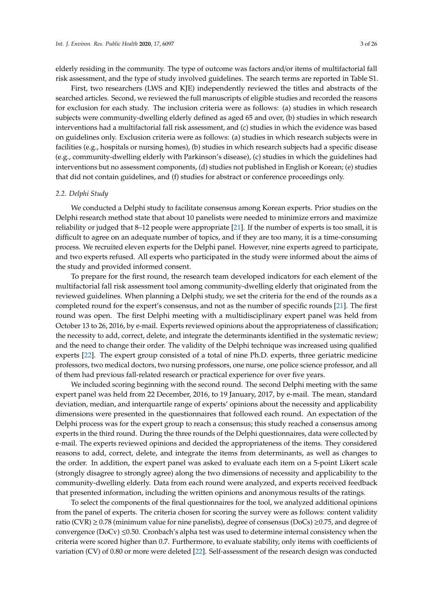elderly residing in the community. The type of outcome was factors and/or items of multifactorial fall risk assessment, and the type of study involved guidelines. The search terms are reported in Table S1.

First, two researchers (LWS and KJE) independently reviewed the titles and abstracts of the searched articles. Second, we reviewed the full manuscripts of eligible studies and recorded the reasons for exclusion for each study. The inclusion criteria were as follows: (a) studies in which research subjects were community-dwelling elderly defined as aged 65 and over, (b) studies in which research interventions had a multifactorial fall risk assessment, and (c) studies in which the evidence was based on guidelines only. Exclusion criteria were as follows: (a) studies in which research subjects were in facilities (e.g., hospitals or nursing homes), (b) studies in which research subjects had a specific disease (e.g., community-dwelling elderly with Parkinson's disease), (c) studies in which the guidelines had interventions but no assessment components, (d) studies not published in English or Korean; (e) studies that did not contain guidelines, and (f) studies for abstract or conference proceedings only.

## *2.2. Delphi Study*

We conducted a Delphi study to facilitate consensus among Korean experts. Prior studies on the Delphi research method state that about 10 panelists were needed to minimize errors and maximize reliability or judged that 8–12 people were appropriate [\[21\]](#page-23-13). If the number of experts is too small, it is difficult to agree on an adequate number of topics, and if they are too many, it is a time-consuming process. We recruited eleven experts for the Delphi panel. However, nine experts agreed to participate, and two experts refused. All experts who participated in the study were informed about the aims of the study and provided informed consent.

To prepare for the first round, the research team developed indicators for each element of the multifactorial fall risk assessment tool among community-dwelling elderly that originated from the reviewed guidelines. When planning a Delphi study, we set the criteria for the end of the rounds as a completed round for the expert's consensus, and not as the number of specific rounds [\[21\]](#page-23-13). The first round was open. The first Delphi meeting with a multidisciplinary expert panel was held from October 13 to 26, 2016, by e-mail. Experts reviewed opinions about the appropriateness of classification; the necessity to add, correct, delete, and integrate the determinants identified in the systematic review; and the need to change their order. The validity of the Delphi technique was increased using qualified experts [\[22\]](#page-23-14). The expert group consisted of a total of nine Ph.D. experts, three geriatric medicine professors, two medical doctors, two nursing professors, one nurse, one police science professor, and all of them had previous fall-related research or practical experience for over five years.

We included scoring beginning with the second round. The second Delphi meeting with the same expert panel was held from 22 December, 2016, to 19 January, 2017, by e-mail. The mean, standard deviation, median, and interquartile range of experts' opinions about the necessity and applicability dimensions were presented in the questionnaires that followed each round. An expectation of the Delphi process was for the expert group to reach a consensus; this study reached a consensus among experts in the third round. During the three rounds of the Delphi questionnaires, data were collected by e-mail. The experts reviewed opinions and decided the appropriateness of the items. They considered reasons to add, correct, delete, and integrate the items from determinants, as well as changes to the order. In addition, the expert panel was asked to evaluate each item on a 5-point Likert scale (strongly disagree to strongly agree) along the two dimensions of necessity and applicability to the community-dwelling elderly. Data from each round were analyzed, and experts received feedback that presented information, including the written opinions and anonymous results of the ratings.

To select the components of the final questionnaires for the tool, we analyzed additional opinions from the panel of experts. The criteria chosen for scoring the survey were as follows: content validity ratio (CVR)  $\geq$  0.78 (minimum value for nine panelists), degree of consensus (DoCs)  $\geq$  0.75, and degree of convergence ( $DoCV \leq 0.50$ . Cronbach's alpha test was used to determine internal consistency when the criteria were scored higher than 0.7. Furthermore, to evaluate stability, only items with coefficients of variation (CV) of 0.80 or more were deleted [\[22\]](#page-23-14). Self-assessment of the research design was conducted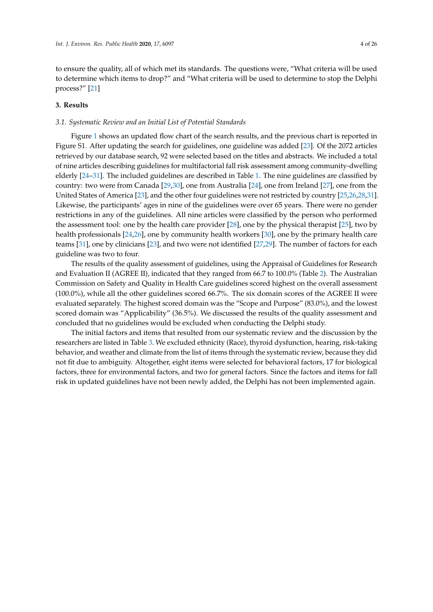to ensure the quality, all of which met its standards. The questions were, "What criteria will be used to determine which items to drop?" and "What criteria will be used to determine to stop the Delphi process?" [\[21\]](#page-23-13)

### **3. Results**

## *3.1. Systematic Review and an Initial List of Potential Standards*

Figure [1](#page-4-0) shows an updated flow chart of the search results, and the previous chart is reported in Figure S1. After updating the search for guidelines, one guideline was added [\[23\]](#page-23-15). Of the 2072 articles retrieved by our database search, 92 were selected based on the titles and abstracts. We included a total of nine articles describing guidelines for multifactorial fall risk assessment among community-dwelling elderly [\[24–](#page-23-16)[31\]](#page-24-0). The included guidelines are described in Table [1.](#page-10-0) The nine guidelines are classified by country: two were from Canada [\[29](#page-24-1)[,30\]](#page-24-2), one from Australia [\[24\]](#page-23-16), one from Ireland [\[27\]](#page-24-3), one from the United States of America [\[23\]](#page-23-15), and the other four guidelines were not restricted by country [\[25,](#page-23-17)[26](#page-23-18)[,28](#page-24-4)[,31\]](#page-24-0). Likewise, the participants' ages in nine of the guidelines were over 65 years. There were no gender restrictions in any of the guidelines. All nine articles were classified by the person who performed the assessment tool: one by the health care provider [\[28\]](#page-24-4), one by the physical therapist [\[25\]](#page-23-17), two by health professionals [\[24,](#page-23-16)[26\]](#page-23-18), one by community health workers [\[30\]](#page-24-2), one by the primary health care teams [\[31\]](#page-24-0), one by clinicians [\[23\]](#page-23-15), and two were not identified [\[27,](#page-24-3)[29\]](#page-24-1). The number of factors for each guideline was two to four.

The results of the quality assessment of guidelines, using the Appraisal of Guidelines for Research and Evaluation II (AGREE II), indicated that they ranged from 66.7 to 100.0% (Table [2\)](#page-10-1). The Australian Commission on Safety and Quality in Health Care guidelines scored highest on the overall assessment (100.0%), while all the other guidelines scored 66.7%. The six domain scores of the AGREE II were evaluated separately. The highest scored domain was the "Scope and Purpose" (83.0%), and the lowest scored domain was "Applicability" (36.5%). We discussed the results of the quality assessment and concluded that no guidelines would be excluded when conducting the Delphi study.

The initial factors and items that resulted from our systematic review and the discussion by the researchers are listed in Table [3.](#page-11-0) We excluded ethnicity (Race), thyroid dysfunction, hearing, risk-taking behavior, and weather and climate from the list of items through the systematic review, because they did not fit due to ambiguity. Altogether, eight items were selected for behavioral factors, 17 for biological factors, three for environmental factors, and two for general factors. Since the factors and items for fall risk in updated guidelines have not been newly added, the Delphi has not been implemented again.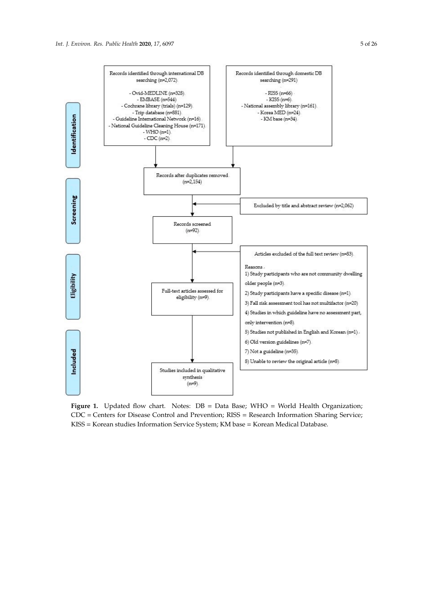<span id="page-4-0"></span>

**Figure 1.** Updated flow chart. CDC = Centers for Disease Control and Prevention; RISS = Research Information Sharing Service; KISS = Korean studies Information Service System; KM base = Korean Medical Database. **Figure 1.** Updated flow chart. Notes: DB = Data Base; WHO = World Health Organization;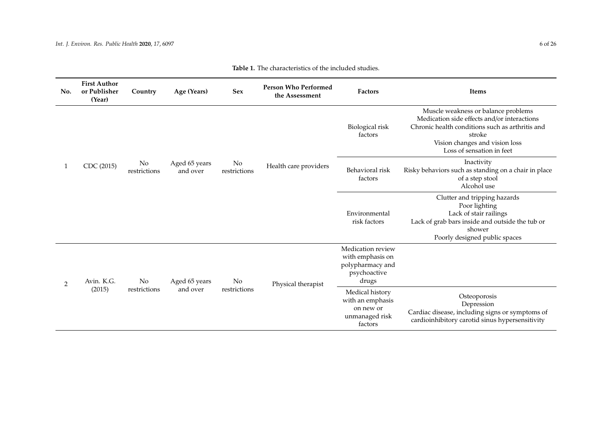| No. | <b>First Author</b><br>or Publisher<br>(Year) | Country            | Age (Years)               | <b>Sex</b>         | <b>Person Who Performed</b><br>the Assessment | <b>Factors</b>                                                                     | <b>Items</b>                                                                                                                                                                                                   |
|-----|-----------------------------------------------|--------------------|---------------------------|--------------------|-----------------------------------------------|------------------------------------------------------------------------------------|----------------------------------------------------------------------------------------------------------------------------------------------------------------------------------------------------------------|
|     |                                               | No<br>restrictions |                           |                    |                                               | Biological risk<br>factors                                                         | Muscle weakness or balance problems<br>Medication side effects and/or interactions<br>Chronic health conditions such as arthritis and<br>stroke<br>Vision changes and vision loss<br>Loss of sensation in feet |
|     | CDC (2015)                                    |                    | Aged 65 years<br>and over | No<br>restrictions | Health care providers                         | Behavioral risk<br>factors                                                         | Inactivity<br>Risky behaviors such as standing on a chair in place<br>of a step stool<br>Alcohol use                                                                                                           |
|     |                                               |                    |                           |                    |                                               | Environmental<br>risk factors                                                      | Clutter and tripping hazards<br>Poor lighting<br>Lack of stair railings<br>Lack of grab bars inside and outside the tub or<br>shower<br>Poorly designed public spaces                                          |
| 2   | Avin. K.G.                                    | No                 | Aged 65 years             | No                 | Physical therapist                            | Medication review<br>with emphasis on<br>polypharmacy and<br>psychoactive<br>drugs |                                                                                                                                                                                                                |
|     | (2015)                                        | restrictions       | and over                  | restrictions       |                                               | Medical history<br>with an emphasis<br>on new or<br>unmanaged risk<br>factors      | Osteoporosis<br>Depression<br>Cardiac disease, including signs or symptoms of<br>cardioinhibitory carotid sinus hypersensitivity                                                                               |

**Table 1.** The characteristics of the included studies.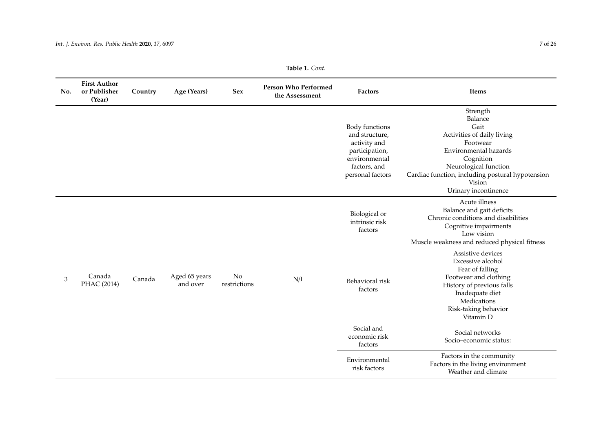**First Author or Publisher**

| Table 1. Cont.                                |                  |                                                  |
|-----------------------------------------------|------------------|--------------------------------------------------|
| <b>Person Who Performed</b><br>the Assessment | <b>Factors</b>   | <b>Items</b>                                     |
|                                               |                  | Strength                                         |
|                                               |                  | Balance                                          |
|                                               | Body functions   | Gait                                             |
|                                               | and structure,   | Activities of daily living                       |
|                                               | activity and     | Footwear                                         |
|                                               | participation,   | Environmental hazards                            |
|                                               | environmental    | Cognition                                        |
|                                               | factors, and     | Neurological function                            |
|                                               | personal factors | Cardiac function, including postural hypotension |
|                                               |                  | Vision                                           |
|                                               |                  |                                                  |

| No. | or Publisher<br>(Year) | Country | Age (Years)               | <b>Sex</b>         | Person who Performed<br>the Assessment | <b>Factors</b>                                                                                                          | Items                                                                                                                                                                                                                      |
|-----|------------------------|---------|---------------------------|--------------------|----------------------------------------|-------------------------------------------------------------------------------------------------------------------------|----------------------------------------------------------------------------------------------------------------------------------------------------------------------------------------------------------------------------|
|     |                        |         |                           |                    |                                        | Body functions<br>and structure,<br>activity and<br>participation,<br>environmental<br>factors, and<br>personal factors | Strength<br>Balance<br>Gait<br>Activities of daily living<br>Footwear<br>Environmental hazards<br>Cognition<br>Neurological function<br>Cardiac function, including postural hypotension<br>Vision<br>Urinary incontinence |
|     |                        |         |                           |                    |                                        | Biological or<br>intrinsic risk<br>factors                                                                              | Acute illness<br>Balance and gait deficits<br>Chronic conditions and disabilities<br>Cognitive impairments<br>Low vision<br>Muscle weakness and reduced physical fitness                                                   |
| 3   | Canada<br>PHAC (2014)  | Canada  | Aged 65 years<br>and over | No<br>restrictions | N/I                                    | Behavioral risk<br>factors                                                                                              | Assistive devices<br>Excessive alcohol<br>Fear of falling<br>Footwear and clothing<br>History of previous falls<br>Inadequate diet<br>Medications<br>Risk-taking behavior<br>Vitamin D                                     |
|     |                        |         |                           |                    |                                        | Social and<br>economic risk<br>factors                                                                                  | Social networks<br>Socio-economic status:                                                                                                                                                                                  |
|     |                        |         |                           |                    |                                        | Environmental<br>risk factors                                                                                           | Factors in the community<br>Factors in the living environment<br>Weather and climate                                                                                                                                       |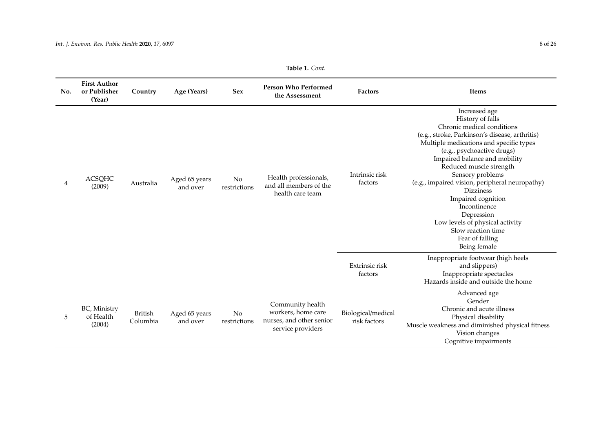| No.            | <b>First Author</b><br>or Publisher<br>(Year) | Country                    | Age (Years)               | <b>Sex</b>         | <b>Person Who Performed</b><br>the Assessment                                           | <b>Factors</b>                     | <b>Items</b>                                                                                                                                                                                                                                                                                                                                                                                                                                                                                     |
|----------------|-----------------------------------------------|----------------------------|---------------------------|--------------------|-----------------------------------------------------------------------------------------|------------------------------------|--------------------------------------------------------------------------------------------------------------------------------------------------------------------------------------------------------------------------------------------------------------------------------------------------------------------------------------------------------------------------------------------------------------------------------------------------------------------------------------------------|
| $\overline{4}$ | <b>ACSQHC</b><br>(2009)                       | Australia                  | Aged 65 years<br>and over | No<br>restrictions | Health professionals,<br>and all members of the<br>health care team                     | Intrinsic risk<br>factors          | Increased age<br>History of falls<br>Chronic medical conditions<br>(e.g., stroke, Parkinson's disease, arthritis)<br>Multiple medications and specific types<br>(e.g., psychoactive drugs)<br>Impaired balance and mobility<br>Reduced muscle strength<br>Sensory problems<br>(e.g., impaired vision, peripheral neuropathy)<br><b>Dizziness</b><br>Impaired cognition<br>Incontinence<br>Depression<br>Low levels of physical activity<br>Slow reaction time<br>Fear of falling<br>Being female |
|                |                                               |                            |                           |                    |                                                                                         | Extrinsic risk<br>factors          | Inappropriate footwear (high heels<br>and slippers)<br>Inappropriate spectacles<br>Hazards inside and outside the home                                                                                                                                                                                                                                                                                                                                                                           |
| 5              | BC, Ministry<br>of Health<br>(2004)           | <b>British</b><br>Columbia | Aged 65 years<br>and over | No<br>restrictions | Community health<br>workers, home care<br>nurses, and other senior<br>service providers | Biological/medical<br>risk factors | Advanced age<br>Gender<br>Chronic and acute illness<br>Physical disability<br>Muscle weakness and diminished physical fitness<br>Vision changes<br>Cognitive impairments                                                                                                                                                                                                                                                                                                                         |

**Table 1.** *Cont.*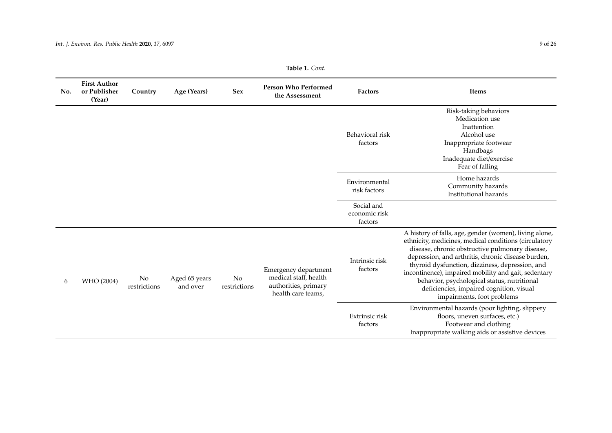| No. | <b>First Author</b><br>or Publisher<br>(Year) | Country            | Age (Years)               | <b>Sex</b>         | <b>Person Who Performed</b><br>the Assessment                                               | <b>Factors</b>                         | <b>Items</b>                                                                                                                                                                                                                                                                                                                                                                                                                                                 |
|-----|-----------------------------------------------|--------------------|---------------------------|--------------------|---------------------------------------------------------------------------------------------|----------------------------------------|--------------------------------------------------------------------------------------------------------------------------------------------------------------------------------------------------------------------------------------------------------------------------------------------------------------------------------------------------------------------------------------------------------------------------------------------------------------|
|     |                                               |                    |                           |                    |                                                                                             | Behavioral risk<br>factors             | Risk-taking behaviors<br>Medication use<br>Inattention<br>Alcohol use<br>Inappropriate footwear<br>Handbags<br>Inadequate diet/exercise<br>Fear of falling                                                                                                                                                                                                                                                                                                   |
|     |                                               |                    |                           |                    |                                                                                             | Environmental<br>risk factors          | Home hazards<br>Community hazards<br>Institutional hazards                                                                                                                                                                                                                                                                                                                                                                                                   |
|     |                                               |                    |                           |                    |                                                                                             | Social and<br>economic risk<br>factors |                                                                                                                                                                                                                                                                                                                                                                                                                                                              |
| 6   | WHO (2004)                                    | No<br>restrictions | Aged 65 years<br>and over | No<br>restrictions | Emergency department<br>medical staff, health<br>authorities, primary<br>health care teams, | Intrinsic risk<br>factors              | A history of falls, age, gender (women), living alone,<br>ethnicity, medicines, medical conditions (circulatory<br>disease, chronic obstructive pulmonary disease,<br>depression, and arthritis, chronic disease burden,<br>thyroid dysfunction, dizziness, depression, and<br>incontinence), impaired mobility and gait, sedentary<br>behavior, psychological status, nutritional<br>deficiencies, impaired cognition, visual<br>impairments, foot problems |
|     |                                               |                    |                           |                    |                                                                                             | Extrinsic risk<br>factors              | Environmental hazards (poor lighting, slippery<br>floors, uneven surfaces, etc.)<br>Footwear and clothing<br>Inappropriate walking aids or assistive devices                                                                                                                                                                                                                                                                                                 |

**Table 1.** *Cont.*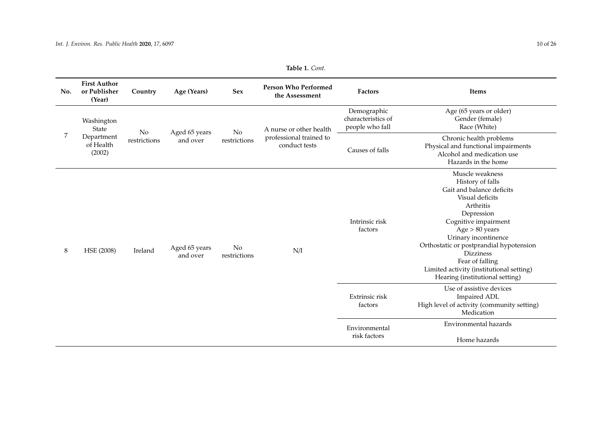**First Author or Publisher (Year)**

Washington State Department of Health (2002)

**No.**

7

|                    |                           |                    | lable 1. Cont.                                |                                                      |                                                                                                                     |
|--------------------|---------------------------|--------------------|-----------------------------------------------|------------------------------------------------------|---------------------------------------------------------------------------------------------------------------------|
| Country            | Age (Years)               | <b>Sex</b>         | <b>Person Who Performed</b><br>the Assessment | <b>Factors</b>                                       | Items                                                                                                               |
| No<br>restrictions |                           |                    | A nurse or other health                       | Demographic<br>characteristics of<br>people who fall | Age (65 years or older)<br>Gender (female)<br>Race (White)                                                          |
|                    | Aged 65 years<br>and over | No<br>restrictions | professional trained to<br>conduct tests      | Causes of falls                                      | Chronic health problems<br>Physical and functional impairments<br>Alcohol and medication use<br>Hazards in the home |
|                    |                           |                    |                                               |                                                      | Muscle weakness<br>History of falls<br>Gait and balance deficits<br>Visual deficits<br>Arthritis<br>Depression      |
|                    |                           |                    |                                               | Intrinsic risk<br>factors                            | Cognitive impairment<br>Age > 80 years<br>Urinary incontinence                                                      |

**Table 1.** *Cont.*

| Fear of falling<br>Limited activity (institutional setting)<br>Hearing (institutional setting)<br>Use of assistive devices<br>Extrinsic risk<br>Impaired ADL<br>High level of activity (community setting)<br>factors<br>Medication<br>Environmental hazards<br>Environmental<br>risk factors |  |
|-----------------------------------------------------------------------------------------------------------------------------------------------------------------------------------------------------------------------------------------------------------------------------------------------|--|
|                                                                                                                                                                                                                                                                                               |  |
|                                                                                                                                                                                                                                                                                               |  |
| Depression<br>Intrinsic risk<br>Cognitive impairment<br>Age > 80 years<br>factors<br>Urinary incontinence<br>Orthostatic or postprandial hypotension<br>No<br>Aged 65 years<br><b>HSE (2008)</b><br>Ireland<br>N/I<br>8<br><b>Dizziness</b><br>and over<br>restrictions                       |  |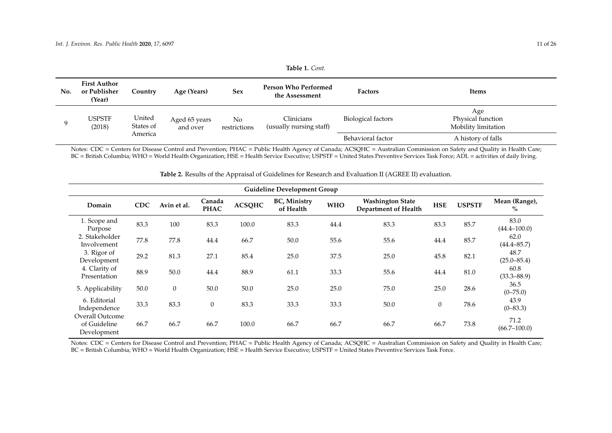| <b>Table 1. Cont.</b> |  |  |
|-----------------------|--|--|
|-----------------------|--|--|

| No. | <b>First Author</b><br>or Publisher<br>(Year) | Age (Years)<br><b>Sex</b><br>Country |                           | <b>Person Who Performed</b><br>the Assessment | <b>Factors</b>                        | Items              |                                                 |
|-----|-----------------------------------------------|--------------------------------------|---------------------------|-----------------------------------------------|---------------------------------------|--------------------|-------------------------------------------------|
|     | <b>USPSTF</b><br>(2018)                       | United<br>States of                  | Aged 65 years<br>and over | No<br>restrictions                            | Clinicians<br>(usually nursing staff) | Biological factors | Age<br>Physical function<br>Mobility limitation |
|     |                                               | America                              |                           |                                               |                                       | Behavioral factor  | A history of falls                              |

Notes: CDC = Centers for Disease Control and Prevention; PHAC = Public Health Agency of Canada; ACSQHC = Australian Commission on Safety and Quality in Health Care; BC = British Columbia; WHO = World Health Organization; HSE = Health Service Executive; USPSTF = United States Preventive Services Task Force; ADL = activities of daily living.

<span id="page-10-0"></span>

|                                                | <b>Guideline Development Group</b> |              |                       |               |                           |            |                                                        |              |               |                          |  |  |  |  |  |
|------------------------------------------------|------------------------------------|--------------|-----------------------|---------------|---------------------------|------------|--------------------------------------------------------|--------------|---------------|--------------------------|--|--|--|--|--|
| Domain                                         | <b>CDC</b>                         | Avin et al.  | Canada<br><b>PHAC</b> | <b>ACSQHC</b> | BC, Ministry<br>of Health | <b>WHO</b> | <b>Washington State</b><br><b>Department of Health</b> | <b>HSE</b>   | <b>USPSTF</b> | Mean (Range),<br>$\%$    |  |  |  |  |  |
| 1. Scope and<br>Purpose                        | 83.3                               | 100          | 83.3                  | 100.0         | 83.3                      | 44.4       | 83.3                                                   | 83.3         | 85.7          | 83.0<br>$(44.4 - 100.0)$ |  |  |  |  |  |
| 2. Stakeholder<br>Involvement                  | 77.8                               | 77.8         | 44.4                  | 66.7          | 50.0                      | 55.6       | 55.6                                                   | 44.4         | 85.7          | 62.0<br>$(44.4 - 85.7)$  |  |  |  |  |  |
| 3. Rigor of<br>Development                     | 29.2                               | 81.3         | 27.1                  | 85.4          | 25.0                      | 37.5       | 25.0                                                   | 45.8         | 82.1          | 48.7<br>$(25.0 - 85.4)$  |  |  |  |  |  |
| 4. Clarity of<br>Presentation                  | 88.9                               | 50.0         | 44.4                  | 88.9          | 61.1                      | 33.3       | 55.6                                                   | 44.4         | 81.0          | 60.8<br>$(33.3 - 88.9)$  |  |  |  |  |  |
| 5. Applicability                               | 50.0                               | $\mathbf{0}$ | 50.0                  | 50.0          | 25.0                      | 25.0       | 75.0                                                   | 25.0         | 28.6          | 36.5<br>$(0 - 75.0)$     |  |  |  |  |  |
| 6. Editorial<br>Independence                   | 33.3                               | 83.3         | $\mathbf{0}$          | 83.3          | 33.3                      | 33.3       | 50.0                                                   | $\mathbf{0}$ | 78.6          | 43.9<br>$(0 - 83.3)$     |  |  |  |  |  |
| Overall Outcome<br>of Guideline<br>Development | 66.7                               | 66.7         | 66.7                  | 100.0         | 66.7                      | 66.7       | 66.7                                                   | 66.7         | 73.8          | 71.2<br>$(66.7 - 100.0)$ |  |  |  |  |  |

**Table 2.** Results of the Appraisal of Guidelines for Research and Evaluation II (AGREE II) evaluation.

<span id="page-10-1"></span>Notes: CDC = Centers for Disease Control and Prevention; PHAC = Public Health Agency of Canada; ACSQHC = Australian Commission on Safety and Quality in Health Care; BC = British Columbia; WHO = World Health Organization; HSE = Health Service Executive; USPSTF = United States Preventive Services Task Force.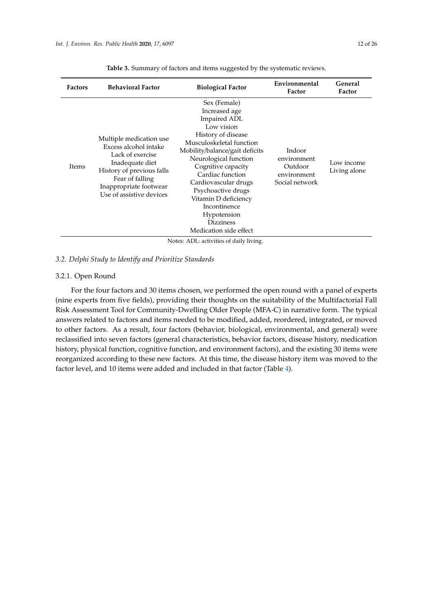<span id="page-11-0"></span>

| <b>Factors</b> | <b>Behavioral Factor</b>                                                                                                                                                                      | <b>Biological Factor</b>                                                                                                                                                                                                                                                                                                                                                     | Environmental<br>Factor                                           | General<br>Factor          |
|----------------|-----------------------------------------------------------------------------------------------------------------------------------------------------------------------------------------------|------------------------------------------------------------------------------------------------------------------------------------------------------------------------------------------------------------------------------------------------------------------------------------------------------------------------------------------------------------------------------|-------------------------------------------------------------------|----------------------------|
| <b>Items</b>   | Multiple medication use<br>Excess alcohol intake<br>Lack of exercise<br>Inadequate diet<br>History of previous falls<br>Fear of falling<br>Inappropriate footwear<br>Use of assistive devices | Sex (Female)<br>Increased age<br><b>Impaired ADL</b><br>Low vision<br>History of disease<br>Musculoskeletal function<br>Mobility/balance/gait deficits<br>Neurological function<br>Cognitive capacity<br>Cardiac function<br>Cardiovascular drugs<br>Psychoactive drugs<br>Vitamin D deficiency<br>Incontinence<br>Hypotension<br><b>Dizziness</b><br>Medication side effect | Indoor<br>environment<br>Outdoor<br>environment<br>Social network | Low income<br>Living alone |
|                |                                                                                                                                                                                               | Notes: ADL: activities of daily living.                                                                                                                                                                                                                                                                                                                                      |                                                                   |                            |

**Table 3.** Summary of factors and items suggested by the systematic reviews.

## *3.2. Delphi Study to Identify and Prioritize Standards*

## 3.2.1. Open Round

For the four factors and 30 items chosen, we performed the open round with a panel of experts (nine experts from five fields), providing their thoughts on the suitability of the Multifactorial Fall Risk Assessment Tool for Community-Dwelling Older People (MFA-C) in narrative form. The typical answers related to factors and items needed to be modified, added, reordered, integrated, or moved to other factors. As a result, four factors (behavior, biological, environmental, and general) were reclassified into seven factors (general characteristics, behavior factors, disease history, medication history, physical function, cognitive function, and environment factors), and the existing 30 items were reorganized according to these new factors. At this time, the disease history item was moved to the factor level, and 10 items were added and included in that factor (Table [4\)](#page-13-0).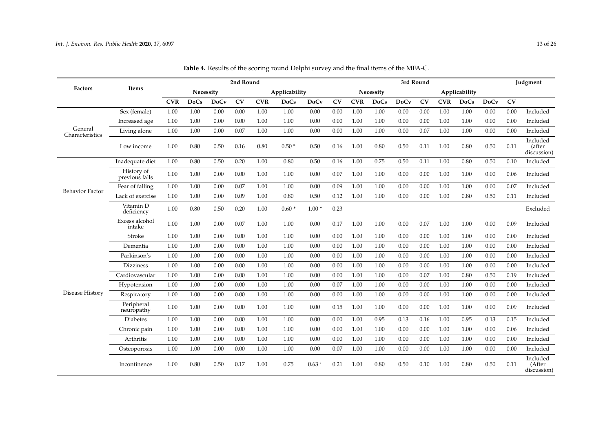|                            |                              |            |             |             | 2nd Round |            |               |             |      |            |             |             | 3rd Round |            |               |             | Judgment |                                   |  |
|----------------------------|------------------------------|------------|-------------|-------------|-----------|------------|---------------|-------------|------|------------|-------------|-------------|-----------|------------|---------------|-------------|----------|-----------------------------------|--|
| <b>Factors</b>             | Items                        |            | Necessity   |             |           |            | Applicability |             |      |            | Necessity   |             |           |            | Applicability |             |          |                                   |  |
|                            |                              | <b>CVR</b> | <b>DoCs</b> | <b>DoCv</b> | CV        | <b>CVR</b> | <b>DoCs</b>   | <b>DoCv</b> | CV   | <b>CVR</b> | <b>DoCs</b> | <b>DoCv</b> | CV        | <b>CVR</b> | <b>DoCs</b>   | <b>DoCv</b> | CV       |                                   |  |
|                            | Sex (female)                 | 1.00       | 1.00        | 0.00        | 0.00      | 1.00       | 1.00          | 0.00        | 0.00 | 1.00       | 1.00        | 0.00        | 0.00      | 1.00       | 1.00          | 0.00        | 0.00     | Included                          |  |
|                            | Increased age                | 1.00       | 1.00        | 0.00        | 0.00      | 1.00       | 1.00          | 0.00        | 0.00 | 1.00       | 1.00        | 0.00        | 0.00      | 1.00       | 1.00          | 0.00        | 0.00     | Included                          |  |
| General<br>Characteristics | Living alone                 | 1.00       | 1.00        | 0.00        | 0.07      | 1.00       | 1.00          | 0.00        | 0.00 | 1.00       | 1.00        | 0.00        | 0.07      | 1.00       | 1.00          | 0.00        | 0.00     | Included                          |  |
|                            | Low income                   | 1.00       | 0.80        | 0.50        | 0.16      | 0.80       | $0.50*$       | 0.50        | 0.16 | 1.00       | 0.80        | 0.50        | 0.11      | 1.00       | 0.80          | 0.50        | 0.11     | Included<br>(after<br>discussion) |  |
|                            | Inadequate diet              | 1.00       | 0.80        | 0.50        | 0.20      | 1.00       | 0.80          | 0.50        | 0.16 | 1.00       | 0.75        | 0.50        | 0.11      | 1.00       | 0.80          | 0.50        | 0.10     | Included                          |  |
|                            | History of<br>previous falls | 1.00       | 1.00        | 0.00        | 0.00      | 1.00       | 1.00          | 0.00        | 0.07 | 1.00       | 1.00        | 0.00        | 0.00      | 1.00       | 1.00          | 0.00        | 0.06     | Included                          |  |
| <b>Behavior Factor</b>     | Fear of falling              | 1.00       | 1.00        | 0.00        | 0.07      | 1.00       | 1.00          | 0.00        | 0.09 | 1.00       | 1.00        | 0.00        | 0.00      | 1.00       | 1.00          | 0.00        | 0.07     | Included                          |  |
|                            | Lack of exercise             | 1.00       | 1.00        | 0.00        | 0.09      | 1.00       | 0.80          | 0.50        | 0.12 | 1.00       | 1.00        | 0.00        | 0.00      | 1.00       | 0.80          | 0.50        | 0.11     | Included                          |  |
|                            | Vitamin D<br>deficiency      | 1.00       | 0.80        | 0.50        | 0.20      | 1.00       | $0.60*$       | $1.00*$     | 0.23 |            |             |             |           |            |               |             |          | Excluded                          |  |
|                            | Excess alcohol<br>intake     | 1.00       | 1.00        | 0.00        | 0.07      | 1.00       | 1.00          | 0.00        | 0.17 | 1.00       | 1.00        | 0.00        | 0.07      | 1.00       | 1.00          | 0.00        | 0.09     | Included                          |  |
|                            | Stroke                       | 1.00       | 1.00        | 0.00        | 0.00      | 1.00       | 1.00          | 0.00        | 0.00 | 1.00       | 1.00        | 0.00        | 0.00      | 1.00       | 1.00          | 0.00        | 0.00     | Included                          |  |
|                            | Dementia                     | 1.00       | 1.00        | 0.00        | 0.00      | 1.00       | 1.00          | 0.00        | 0.00 | 1.00       | 1.00        | 0.00        | 0.00      | 1.00       | 1.00          | 0.00        | 0.00     | Included                          |  |
|                            | Parkinson's                  | 1.00       | 1.00        | 0.00        | 0.00      | 1.00       | 1.00          | 0.00        | 0.00 | 1.00       | 1.00        | 0.00        | 0.00      | 1.00       | 1.00          | 0.00        | 0.00     | Included                          |  |
|                            | <b>Dizziness</b>             | 1.00       | 1.00        | 0.00        | 0.00      | 1.00       | 1.00          | 0.00        | 0.00 | 1.00       | 1.00        | 0.00        | 0.00      | 1.00       | 1.00          | 0.00        | 0.00     | Included                          |  |
|                            | Cardiovascular               | 1.00       | 1.00        | 0.00        | 0.00      | 1.00       | 1.00          | 0.00        | 0.00 | 1.00       | 1.00        | 0.00        | 0.07      | 1.00       | 0.80          | 0.50        | 0.19     | Included                          |  |
|                            | Hypotension                  | 1.00       | 1.00        | 0.00        | 0.00      | 1.00       | 1.00          | 0.00        | 0.07 | 1.00       | 1.00        | 0.00        | 0.00      | 1.00       | 1.00          | 0.00        | 0.00     | Included                          |  |
| Disease History            | Respiratory                  | 1.00       | 1.00        | 0.00        | 0.00      | 1.00       | 1.00          | 0.00        | 0.00 | 1.00       | 1.00        | 0.00        | 0.00      | 1.00       | 1.00          | 0.00        | 0.00     | Included                          |  |
|                            | Peripheral<br>neuropathy     | 1.00       | 1.00        | 0.00        | 0.00      | 1.00       | 1.00          | 0.00        | 0.15 | 1.00       | 1.00        | 0.00        | 0.00      | 1.00       | 1.00          | 0.00        | 0.09     | Included                          |  |
|                            | <b>Diabetes</b>              | 1.00       | 1.00        | 0.00        | 0.00      | 1.00       | 1.00          | 0.00        | 0.00 | 1.00       | 0.95        | 0.13        | 0.16      | 1.00       | 0.95          | 0.13        | 0.15     | Included                          |  |
|                            | Chronic pain                 | 1.00       | 1.00        | 0.00        | 0.00      | 1.00       | 1.00          | 0.00        | 0.00 | 1.00       | 1.00        | 0.00        | 0.00      | 1.00       | 1.00          | 0.00        | 0.06     | Included                          |  |
|                            | Arthritis                    | 1.00       | 1.00        | 0.00        | 0.00      | 1.00       | 1.00          | 0.00        | 0.00 | 1.00       | 1.00        | 0.00        | 0.00      | 1.00       | 1.00          | 0.00        | 0.00     | Included                          |  |
|                            | Osteoporosis                 | 1.00       | 1.00        | 0.00        | 0.00      | 1.00       | 1.00          | 0.00        | 0.07 | 1.00       | 1.00        | 0.00        | 0.00      | 1.00       | 1.00          | 0.00        | 0.00     | Included                          |  |
|                            | Incontinence                 | 1.00       | 0.80        | 0.50        | 0.17      | 1.00       | 0.75          | $0.63*$     | 0.21 | 1.00       | 0.80        | 0.50        | 0.10      | 1.00       | 0.80          | 0.50        | 0.11     | Included<br>(After<br>discussion) |  |

**Table 4.** Results of the scoring round Delphi survey and the final items of the MFA-C.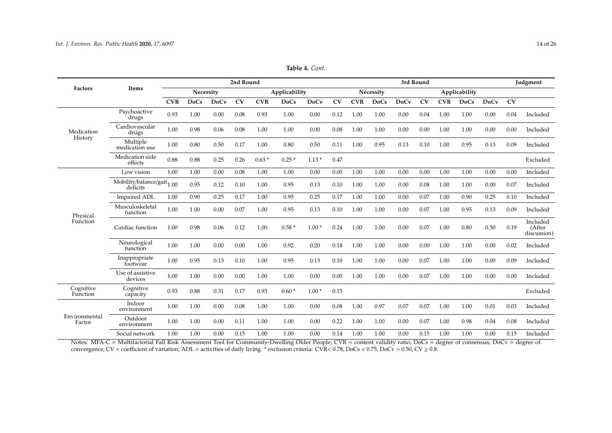|                         |                                             | 2nd Round  |             |             |      |            |               |             | 3rd Round |            |             |             |      | Judgment   |               |             |      |                                   |
|-------------------------|---------------------------------------------|------------|-------------|-------------|------|------------|---------------|-------------|-----------|------------|-------------|-------------|------|------------|---------------|-------------|------|-----------------------------------|
| <b>Factors</b>          | Items                                       |            | Necessity   |             |      |            | Applicability |             |           |            | Necessity   |             |      |            | Applicability |             |      |                                   |
|                         |                                             | <b>CVR</b> | <b>DoCs</b> | <b>DoCv</b> | CV   | <b>CVR</b> | <b>DoCs</b>   | <b>DoCv</b> | CV        | <b>CVR</b> | <b>DoCs</b> | <b>DoCv</b> | CV   | <b>CVR</b> | <b>DoCs</b>   | <b>DoCv</b> | CV   |                                   |
| Medication<br>History   | Psychoactive<br>drugs                       | 0.93       | 1.00        | 0.00        | 0.08 | 0.93       | 1.00          | 0.00        | 0.12      | 1.00       | 1.00        | 0.00        | 0.04 | 1.00       | 1.00          | 0.00        | 0.04 | Included                          |
|                         | Cardiovascular<br>drugs                     | 1.00       | 0.98        | 0.06        | 0.08 | 1.00       | 1.00          | 0.00        | 0.08      | 1.00       | 1.00        | 0.00        | 0.00 | 1.00       | 1.00          | 0.00        | 0.00 | Included                          |
|                         | Multiple<br>medication use                  | 1.00       | 0.80        | 0.50        | 0.17 | 1.00       | 0.80          | 0.50        | 0.11      | 1.00       | 0.95        | 0.13        | 0.10 | 1.00       | 0.95          | 0.13        | 0.09 | Included                          |
|                         | Medication side<br>effects                  | 0.88       | 0.88        | 0.25        | 0.26 | $0.63*$    | $0.25*$       | $1.13*$     | 0.47      |            |             |             |      |            |               |             |      | Excluded                          |
|                         | Low vision                                  | 1.00       | 1.00        | 0.00        | 0.08 | 1.00       | 1.00          | 0.00        | 0.00      | 1.00       | 1.00        | 0.00        | 0.00 | 1.00       | 1.00          | 0.00        | 0.00 | Included                          |
|                         | Mobility/balance/gait $_{1.00}$<br>deficits |            | 0.95        | 0.12        | 0.10 | 1.00       | 0.95          | 0.13        | 0.10      | 1.00       | 1.00        | 0.00        | 0.08 | 1.00       | 1.00          | 0.00        | 0.07 | Included                          |
|                         | Impaired ADL                                | 1.00       | 0.90        | 0.25        | 0.17 | 1.00       | 0.95          | 0.25        | 0.17      | 1.00       | 1.00        | 0.00        | 0.07 | 1.00       | 0.90          | 0.25        | 0.10 | Included                          |
| Physical                | Musculoskeletal<br>function                 | 1.00       | 1.00        | 0.00        | 0.07 | 1.00       | 0.95          | 0.13        | 0.10      | 1.00       | 1.00        | 0.00        | 0.07 | 1.00       | 0.95          | 0.13        | 0.09 | Included                          |
| Function                | Cardiac function                            | 1.00       | 0.98        | 0.06        | 0.12 | 1.00       | $0.58*$       | $1.00*$     | 0.24      | 1.00       | 1.00        | 0.00        | 0.07 | 1.00       | 0.80          | 0.50        | 0.19 | Included<br>(After<br>discussion) |
|                         | Neurological<br>function                    | 1.00       | 1.00        | 0.00        | 0.00 | 1.00       | 0.92          | 0.20        | 0.18      | 1.00       | 1.00        | 0.00        | 0.00 | 1.00       | 1.00          | 0.00        | 0.02 | Included                          |
|                         | Inappropriate<br>footwear                   | 1.00       | 0.95        | 0.13        | 0.10 | 1.00       | 0.95          | 0.13        | 0.10      | 1.00       | 1.00        | 0.00        | 0.07 | 1.00       | 1.00          | 0.00        | 0.09 | Included                          |
|                         | Use of assistive<br>devices                 | 1.00       | 1.00        | 0.00        | 0.00 | 1.00       | 1.00          | 0.00        | 0.00      | 1.00       | 1.00        | 0.00        | 0.07 | 1.00       | 1.00          | 0.00        | 0.00 | Included                          |
| Cognitive<br>Function   | Cognitive<br>capacity                       | 0.93       | 0.88        | 0.31        | 0.17 | 0.93       | $0.60*$       | $1.00*$     | 0.15      |            |             |             |      |            |               |             |      | Excluded                          |
|                         | Indoor<br>environment                       | 1.00       | 1.00        | 0.00        | 0.08 | 1.00       | 1.00          | 0.00        | 0.08      | 1.00       | 0.97        | 0.07        | 0.07 | 1.00       | 1.00          | 0.01        | 0.03 | Included                          |
| Environmental<br>Factor | Outdoor<br>environment                      | 1.00       | 1.00        | 0.00        | 0.11 | 1.00       | 1.00          | 0.00        | 0.22      | 1.00       | 1.00        | 0.00        | 0.07 | 1.00       | 0.98          | 0.04        | 0.08 | Included                          |
|                         | Social network                              | 1.00       | 1.00        | 0.00        | 0.15 | 1.00       | 1.00          | 0.00        | 0.14      | 1.00       | 1.00        | 0.00        | 0.15 | 1.00       | 1.00          | 0.00        | 0.15 | Included                          |

**Table 4.** *Cont.*

<span id="page-13-0"></span>Notes: MFA-C = Multifactorial Fall Risk Assessment Tool for Community-Dwelling Older People; CVR = content validity ratio; DoCs = degree of consensus; DoCv = degree of.<br>convergence; CV = coefficient of variation; ADL = ac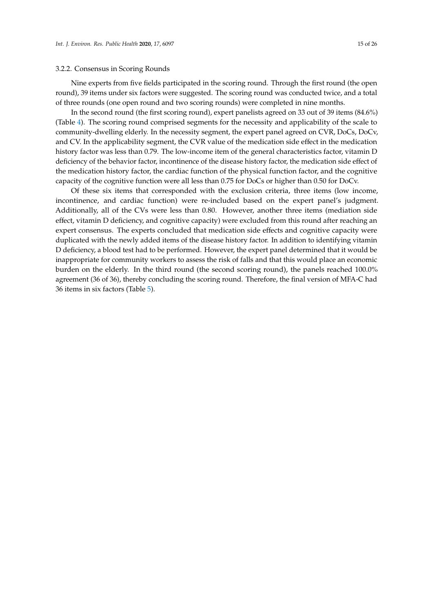Nine experts from five fields participated in the scoring round. Through the first round (the open round), 39 items under six factors were suggested. The scoring round was conducted twice, and a total of three rounds (one open round and two scoring rounds) were completed in nine months.

In the second round (the first scoring round), expert panelists agreed on 33 out of 39 items (84.6%) (Table [4\)](#page-13-0). The scoring round comprised segments for the necessity and applicability of the scale to community-dwelling elderly. In the necessity segment, the expert panel agreed on CVR, DoCs, DoCv, and CV. In the applicability segment, the CVR value of the medication side effect in the medication history factor was less than 0.79. The low-income item of the general characteristics factor, vitamin D deficiency of the behavior factor, incontinence of the disease history factor, the medication side effect of the medication history factor, the cardiac function of the physical function factor, and the cognitive capacity of the cognitive function were all less than 0.75 for DoCs or higher than 0.50 for DoCv.

Of these six items that corresponded with the exclusion criteria, three items (low income, incontinence, and cardiac function) were re-included based on the expert panel's judgment. Additionally, all of the CVs were less than 0.80. However, another three items (mediation side effect, vitamin D deficiency, and cognitive capacity) were excluded from this round after reaching an expert consensus. The experts concluded that medication side effects and cognitive capacity were duplicated with the newly added items of the disease history factor. In addition to identifying vitamin D deficiency, a blood test had to be performed. However, the expert panel determined that it would be inappropriate for community workers to assess the risk of falls and that this would place an economic burden on the elderly. In the third round (the second scoring round), the panels reached 100.0% agreement (36 of 36), thereby concluding the scoring round. Therefore, the final version of MFA-C had 36 items in six factors (Table [5\)](#page-19-0).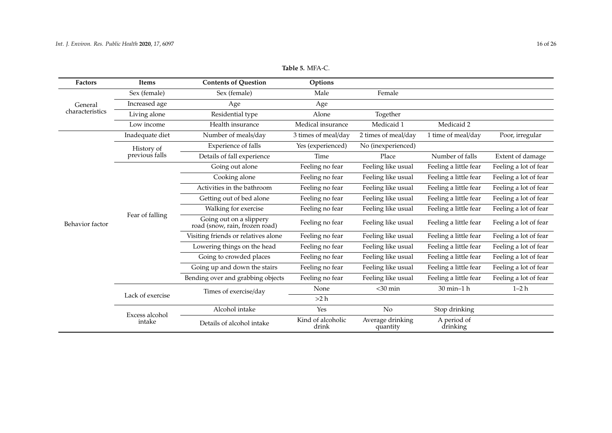| Factors         | <b>Items</b>     | <b>Contents of Question</b>                               | Options                    |                              |                         |                       |
|-----------------|------------------|-----------------------------------------------------------|----------------------------|------------------------------|-------------------------|-----------------------|
|                 | Sex (female)     | Sex (female)                                              | Male                       | Female                       |                         |                       |
| General         | Increased age    | Age                                                       | Age                        |                              |                         |                       |
| characteristics | Living alone     | Residential type                                          | Alone                      | Together                     |                         |                       |
|                 | Low income       | Health insurance                                          | Medical insurance          | Medicaid 1                   | Medicaid 2              |                       |
|                 | Inadequate diet  | Number of meals/day                                       | 3 times of meal/day        | 2 times of meal/day          | 1 time of meal/day      | Poor, irregular       |
|                 | History of       | Experience of falls                                       | Yes (experienced)          | No (inexperienced)           |                         |                       |
|                 | previous falls   | Details of fall experience                                | Time                       | Place                        | Number of falls         | Extent of damage      |
|                 |                  | Going out alone                                           | Feeling no fear            | Feeling like usual           | Feeling a little fear   | Feeling a lot of fear |
|                 | Fear of falling  | Cooking alone                                             | Feeling no fear            | Feeling like usual           | Feeling a little fear   | Feeling a lot of fear |
|                 |                  | Activities in the bathroom                                | Feeling no fear            | Feeling like usual           | Feeling a little fear   | Feeling a lot of fear |
|                 |                  | Getting out of bed alone                                  | Feeling no fear            | Feeling like usual           | Feeling a little fear   | Feeling a lot of fear |
|                 |                  | Walking for exercise                                      | Feeling no fear            | Feeling like usual           | Feeling a little fear   | Feeling a lot of fear |
| Behavior factor |                  | Going out on a slippery<br>road (snow, rain, frozen road) | Feeling no fear            | Feeling like usual           | Feeling a little fear   | Feeling a lot of fear |
|                 |                  | Visiting friends or relatives alone                       | Feeling no fear            | Feeling like usual           | Feeling a little fear   | Feeling a lot of fear |
|                 |                  | Lowering things on the head                               | Feeling no fear            | Feeling like usual           | Feeling a little fear   | Feeling a lot of fear |
|                 |                  | Going to crowded places                                   | Feeling no fear            | Feeling like usual           | Feeling a little fear   | Feeling a lot of fear |
|                 |                  | Going up and down the stairs                              | Feeling no fear            | Feeling like usual           | Feeling a little fear   | Feeling a lot of fear |
|                 |                  | Bending over and grabbing objects                         | Feeling no fear            | Feeling like usual           | Feeling a little fear   | Feeling a lot of fear |
|                 |                  | Times of exercise/day                                     | None                       | $<$ 30 min                   | 30 min-1 h              | $1-2h$                |
|                 | Lack of exercise |                                                           | >2 h                       |                              |                         |                       |
|                 | Excess alcohol   | Alcohol intake                                            | Yes                        | $\rm No$                     | Stop drinking           |                       |
|                 | intake           | Details of alcohol intake                                 | Kind of alcoholic<br>drink | Average drinking<br>quantity | A period of<br>drinking |                       |

## **Table 5.** MFA-C.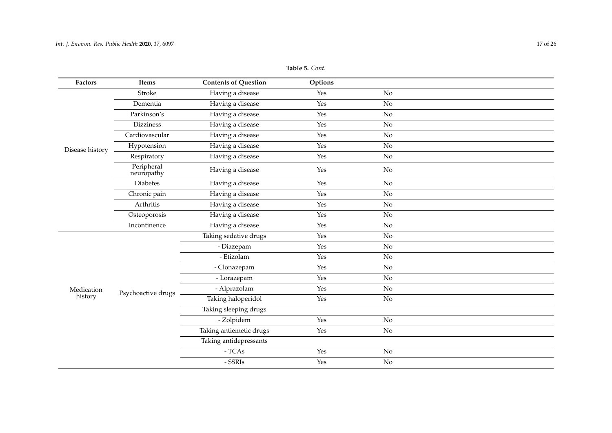| Factors         | Items                    | <b>Contents of Question</b> | Options |          |  |
|-----------------|--------------------------|-----------------------------|---------|----------|--|
|                 | Stroke                   | Having a disease            | Yes     | $\rm No$ |  |
|                 | Dementia                 | Having a disease            | Yes     | No       |  |
|                 | Parkinson's              | Having a disease            | Yes     | No       |  |
|                 | <b>Dizziness</b>         | Having a disease            | Yes     | No       |  |
|                 | Cardiovascular           | Having a disease            | Yes     | No       |  |
| Disease history | Hypotension              | Having a disease            | Yes     | $\rm No$ |  |
|                 | Respiratory              | Having a disease            | Yes     | No       |  |
|                 | Peripheral<br>neuropathy | Having a disease            | Yes     | No       |  |
|                 | <b>Diabetes</b>          | Having a disease            | Yes     | No       |  |
|                 | Chronic pain             | Having a disease            | Yes     | $\rm No$ |  |
|                 | Arthritis                | Having a disease            | Yes     | No       |  |
|                 | Osteoporosis             | Having a disease            | Yes     | No       |  |
|                 | Incontinence             | Having a disease            | Yes     | No       |  |
|                 |                          | Taking sedative drugs       | Yes     | $\rm No$ |  |
|                 |                          | - Diazepam                  | Yes     | No       |  |
|                 |                          | - Etizolam                  | Yes     | No       |  |
|                 |                          | - Clonazepam                | Yes     | No       |  |
|                 |                          | - Lorazepam                 | Yes     | No       |  |
| Medication      | Psychoactive drugs       | - Alprazolam                | Yes     | $\rm No$ |  |
| history         |                          | Taking haloperidol          | Yes     | No       |  |
|                 |                          | Taking sleeping drugs       |         |          |  |
|                 |                          | - Zolpidem                  | Yes     | No       |  |
|                 |                          | Taking antiemetic drugs     | Yes     | $\rm No$ |  |
|                 |                          | Taking antidepressants      |         |          |  |
|                 |                          | - TCAs                      | Yes     | No       |  |
|                 |                          | $\mbox{-}$ SSRIs            | Yes     | $\rm No$ |  |

## **Table 5.** *Cont.*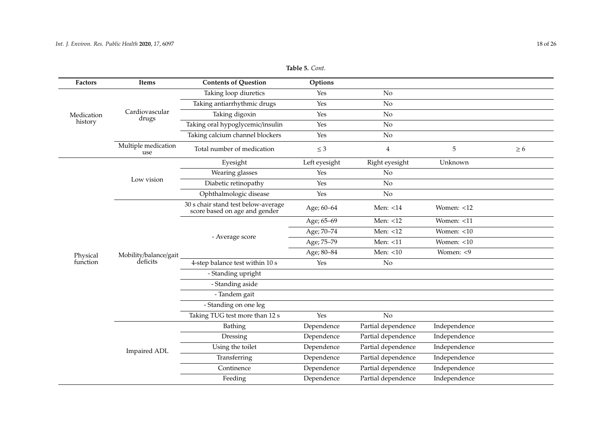| Factors    | Items                             | <b>Contents of Question</b>                                          | Options       |                    |               |          |
|------------|-----------------------------------|----------------------------------------------------------------------|---------------|--------------------|---------------|----------|
|            |                                   | Taking loop diuretics                                                | Yes           | No                 |               |          |
|            | Cardiovascular<br>drugs           | Taking antiarrhythmic drugs                                          | Yes           | No                 |               |          |
| Medication |                                   | Taking digoxin                                                       | Yes           | No                 |               |          |
| history    |                                   | Taking oral hypoglycemic/insulin                                     | Yes           | No                 |               |          |
|            |                                   | Taking calcium channel blockers                                      | Yes           | No                 |               |          |
|            | Multiple medication<br>use        | Total number of medication                                           | $\leq 3$      | $\overline{4}$     | 5             | $\geq 6$ |
|            |                                   | Eyesight                                                             | Left eyesight | Right eyesight     | Unknown       |          |
|            | Low vision                        | Wearing glasses                                                      | Yes           | No                 |               |          |
|            |                                   | Diabetic retinopathy                                                 | Yes           | No                 |               |          |
|            |                                   | Ophthalmologic disease                                               | Yes           | No                 |               |          |
|            | Mobility/balance/gait<br>deficits | 30 s chair stand test below-average<br>score based on age and gender | Age; 60-64    | Men: $<$ 14        | Women: $<$ 12 |          |
|            |                                   |                                                                      | Age; 65-69    | Men: $<$ 12        | Women: <11    |          |
|            |                                   | - Average score                                                      | Age; 70-74    | Men: <12           | Women: <10    |          |
|            |                                   |                                                                      | Age; 75-79    | Men: $<$ 11        | Women: <10    |          |
| Physical   |                                   |                                                                      | Age; 80-84    | Men: $<$ 10        | Women: <9     |          |
| function   |                                   | 4-step balance test within 10 s                                      | Yes           | N <sub>o</sub>     |               |          |
|            |                                   | - Standing upright                                                   |               |                    |               |          |
|            |                                   | - Standing aside                                                     |               |                    |               |          |
|            |                                   | - Tandem gait                                                        |               |                    |               |          |
|            |                                   | - Standing on one leg                                                |               |                    |               |          |
|            |                                   | Taking TUG test more than 12 s                                       | Yes           | No                 |               |          |
|            |                                   | Bathing                                                              | Dependence    | Partial dependence | Independence  |          |
|            |                                   | Dressing                                                             | Dependence    | Partial dependence | Independence  |          |
|            | Impaired ADL                      | Using the toilet                                                     | Dependence    | Partial dependence | Independence  |          |
|            |                                   | Transferring                                                         | Dependence    | Partial dependence | Independence  |          |
|            |                                   | Continence                                                           | Dependence    | Partial dependence | Independence  |          |
|            |                                   | Feeding                                                              | Dependence    | Partial dependence | Independence  |          |

## **Table 5.** *Cont.*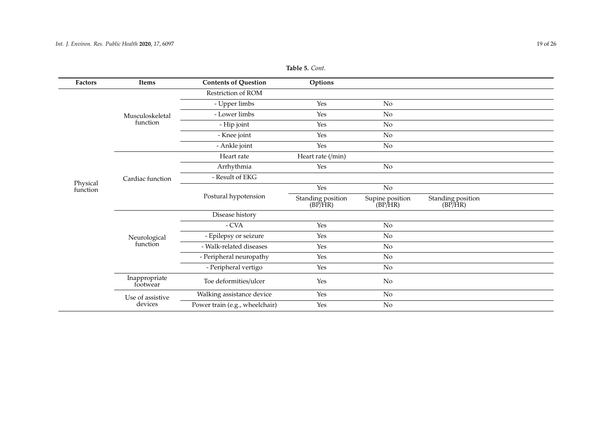| Factors              | Items                     | <b>Contents of Question</b>    | Options                      |                            |                              |  |
|----------------------|---------------------------|--------------------------------|------------------------------|----------------------------|------------------------------|--|
|                      |                           | Restriction of ROM             |                              |                            |                              |  |
|                      |                           | - Upper limbs                  | Yes                          | No                         |                              |  |
|                      | Musculoskeletal           | - Lower limbs                  | Yes                          | No                         |                              |  |
|                      | function                  | - Hip joint                    | Yes                          | $\rm No$                   |                              |  |
|                      |                           | - Knee joint                   | Yes                          | No                         |                              |  |
|                      |                           | - Ankle joint                  | Yes                          | No                         |                              |  |
|                      |                           | Heart rate                     | Heart rate (/min)            |                            |                              |  |
|                      |                           | Arrhythmia                     | Yes                          | No                         |                              |  |
|                      | Cardiac function          | - Result of EKG                |                              |                            |                              |  |
| Physical<br>function |                           |                                | Yes                          | $\rm No$                   |                              |  |
|                      |                           | Postural hypotension           | Standing position<br>(BP/HR) | Supine position<br>(BP/HR) | Standing position<br>(BP/HR) |  |
|                      |                           | Disease history                |                              |                            |                              |  |
|                      | Neurological              | $-CVA$                         | Yes                          | No                         |                              |  |
|                      |                           | - Epilepsy or seizure          | Yes                          | $\rm No$                   |                              |  |
|                      | function                  | - Walk-related diseases        | Yes                          | No                         |                              |  |
|                      |                           | - Peripheral neuropathy        | Yes                          | No                         |                              |  |
|                      |                           | - Peripheral vertigo           | Yes                          | $\rm No$                   |                              |  |
|                      | Inappropriate<br>footwear | Toe deformities/ulcer          | Yes                          | No                         |                              |  |
|                      | Use of assistive          | Walking assistance device      | Yes                          | $\rm No$                   |                              |  |
|                      | devices                   | Power train (e.g., wheelchair) | Yes                          | $\rm No$                   |                              |  |

**Table 5.** *Cont.*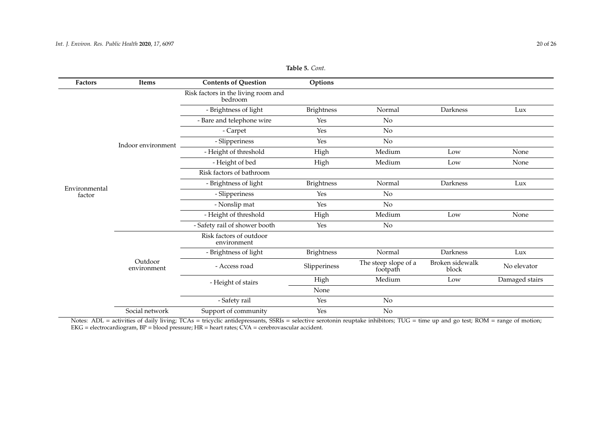| Factors       | Items                                  | <b>Contents of Question</b>                    | Options           |                                  |                          |                |
|---------------|----------------------------------------|------------------------------------------------|-------------------|----------------------------------|--------------------------|----------------|
|               |                                        | Risk factors in the living room and<br>bedroom |                   |                                  |                          |                |
|               |                                        | - Brightness of light                          | <b>Brightness</b> | Normal                           | Darkness                 | Lux            |
|               |                                        | - Bare and telephone wire                      | Yes               | No                               |                          |                |
|               |                                        | - Carpet                                       | Yes               | No                               |                          |                |
|               | Indoor environment                     | - Slipperiness                                 | Yes               | No                               |                          |                |
|               |                                        | - Height of threshold                          | High              | Medium                           | Low                      | None           |
|               |                                        | - Height of bed                                | High              | Medium                           | Low                      | None           |
|               |                                        | Risk factors of bathroom                       |                   |                                  |                          |                |
| Environmental |                                        | - Brightness of light                          | <b>Brightness</b> | Normal                           | Darkness                 | Lux            |
| factor        |                                        | - Slipperiness                                 | Yes               | No                               |                          |                |
|               |                                        | - Nonslip mat                                  | Yes               | No                               |                          |                |
|               |                                        | - Height of threshold                          | High              | Medium                           | Low                      | None           |
|               |                                        | - Safety rail of shower booth                  | Yes               | No                               |                          |                |
|               | Outdoor<br>environment                 | Risk factors of outdoor<br>environment         |                   |                                  |                          |                |
|               |                                        | - Brightness of light                          | <b>Brightness</b> | Normal                           | Darkness                 | Lux            |
|               |                                        | - Access road                                  | Slipperiness      | The steep slope of a<br>footpath | Broken sidewalk<br>block | No elevator    |
|               |                                        | - Height of stairs                             | High              | Medium                           | Low                      | Damaged stairs |
|               |                                        |                                                | None              |                                  |                          |                |
|               |                                        | - Safety rail                                  | Yes               | No                               |                          |                |
|               | Social network<br>Support of community |                                                | Yes               | No                               |                          |                |

**Table 5.** *Cont.*

<span id="page-19-0"></span>Notes: ADL = activities of daily living; TCAs = tricyclic antidepressants, SSRIs = selective serotonin reuptake inhibitors; TUG = time up and go test; ROM = range of motion; EKG = electrocardiogram, BP = blood pressure; HR = heart rates; CVA = cerebrovascular accident.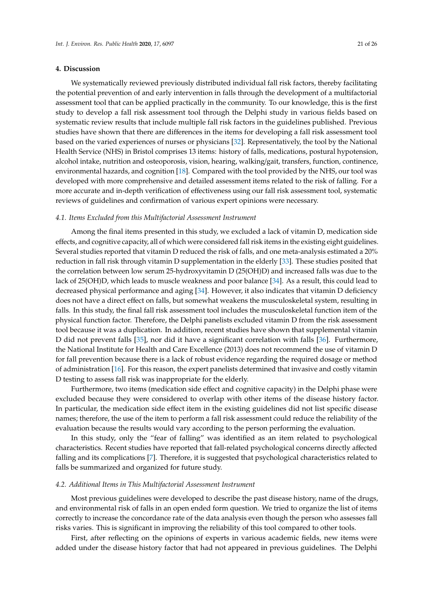## **4. Discussion**

We systematically reviewed previously distributed individual fall risk factors, thereby facilitating the potential prevention of and early intervention in falls through the development of a multifactorial assessment tool that can be applied practically in the community. To our knowledge, this is the first study to develop a fall risk assessment tool through the Delphi study in various fields based on systematic review results that include multiple fall risk factors in the guidelines published. Previous studies have shown that there are differences in the items for developing a fall risk assessment tool based on the varied experiences of nurses or physicians [\[32\]](#page-24-5). Representatively, the tool by the National Health Service (NHS) in Bristol comprises 13 items: history of falls, medications, postural hypotension, alcohol intake, nutrition and osteoporosis, vision, hearing, walking/gait, transfers, function, continence, environmental hazards, and cognition [\[18\]](#page-23-10). Compared with the tool provided by the NHS, our tool was developed with more comprehensive and detailed assessment items related to the risk of falling. For a more accurate and in-depth verification of effectiveness using our fall risk assessment tool, systematic reviews of guidelines and confirmation of various expert opinions were necessary.

## *4.1. Items Excluded from this Multifactorial Assessment Instrument*

Among the final items presented in this study, we excluded a lack of vitamin D, medication side effects, and cognitive capacity, all of which were considered fall risk items in the existing eight guidelines. Several studies reported that vitamin D reduced the risk of falls, and one meta-analysis estimated a 20% reduction in fall risk through vitamin D supplementation in the elderly [\[33\]](#page-24-6). These studies posited that the correlation between low serum 25-hydroxyvitamin D (25(OH)D) and increased falls was due to the lack of 25(OH)D, which leads to muscle weakness and poor balance [\[34\]](#page-24-7). As a result, this could lead to decreased physical performance and aging [\[34\]](#page-24-7). However, it also indicates that vitamin D deficiency does not have a direct effect on falls, but somewhat weakens the musculoskeletal system, resulting in falls. In this study, the final fall risk assessment tool includes the musculoskeletal function item of the physical function factor. Therefore, the Delphi panelists excluded vitamin D from the risk assessment tool because it was a duplication. In addition, recent studies have shown that supplemental vitamin D did not prevent falls [\[35\]](#page-24-8), nor did it have a significant correlation with falls [\[36\]](#page-24-9). Furthermore, the National Institute for Health and Care Excellence (2013) does not recommend the use of vitamin D for fall prevention because there is a lack of robust evidence regarding the required dosage or method of administration [\[16\]](#page-23-9). For this reason, the expert panelists determined that invasive and costly vitamin D testing to assess fall risk was inappropriate for the elderly.

Furthermore, two items (medication side effect and cognitive capacity) in the Delphi phase were excluded because they were considered to overlap with other items of the disease history factor. In particular, the medication side effect item in the existing guidelines did not list specific disease names; therefore, the use of the item to perform a fall risk assessment could reduce the reliability of the evaluation because the results would vary according to the person performing the evaluation.

In this study, only the "fear of falling" was identified as an item related to psychological characteristics. Recent studies have reported that fall-related psychological concerns directly affected falling and its complications [\[7\]](#page-23-0). Therefore, it is suggested that psychological characteristics related to falls be summarized and organized for future study.

#### *4.2. Additional Items in This Multifactorial Assessment Instrument*

Most previous guidelines were developed to describe the past disease history, name of the drugs, and environmental risk of falls in an open ended form question. We tried to organize the list of items correctly to increase the concordance rate of the data analysis even though the person who assesses fall risks varies. This is significant in improving the reliability of this tool compared to other tools.

First, after reflecting on the opinions of experts in various academic fields, new items were added under the disease history factor that had not appeared in previous guidelines. The Delphi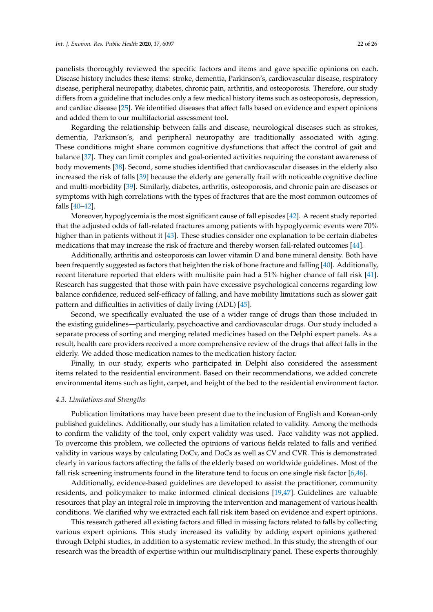panelists thoroughly reviewed the specific factors and items and gave specific opinions on each. Disease history includes these items: stroke, dementia, Parkinson's, cardiovascular disease, respiratory disease, peripheral neuropathy, diabetes, chronic pain, arthritis, and osteoporosis. Therefore, our study differs from a guideline that includes only a few medical history items such as osteoporosis, depression, and cardiac disease [\[25\]](#page-23-17). We identified diseases that affect falls based on evidence and expert opinions and added them to our multifactorial assessment tool.

Regarding the relationship between falls and disease, neurological diseases such as strokes, dementia, Parkinson's, and peripheral neuropathy are traditionally associated with aging. These conditions might share common cognitive dysfunctions that affect the control of gait and balance [\[37\]](#page-24-10). They can limit complex and goal-oriented activities requiring the constant awareness of body movements [\[38\]](#page-24-11). Second, some studies identified that cardiovascular diseases in the elderly also increased the risk of falls [\[39\]](#page-24-12) because the elderly are generally frail with noticeable cognitive decline and multi-morbidity [\[39\]](#page-24-12). Similarly, diabetes, arthritis, osteoporosis, and chronic pain are diseases or symptoms with high correlations with the types of fractures that are the most common outcomes of falls [\[40–](#page-24-13)[42\]](#page-24-14).

Moreover, hypoglycemia is the most significant cause of fall episodes [\[42\]](#page-24-14). A recent study reported that the adjusted odds of fall-related fractures among patients with hypoglycemic events were 70% higher than in patients without it [\[43\]](#page-24-15). These studies consider one explanation to be certain diabetes medications that may increase the risk of fracture and thereby worsen fall-related outcomes [\[44\]](#page-24-16).

Additionally, arthritis and osteoporosis can lower vitamin D and bone mineral density. Both have been frequently suggested as factors that heighten the risk of bone fracture and falling [\[40\]](#page-24-13). Additionally, recent literature reported that elders with multisite pain had a 51% higher chance of fall risk [\[41\]](#page-24-17). Research has suggested that those with pain have excessive psychological concerns regarding low balance confidence, reduced self-efficacy of falling, and have mobility limitations such as slower gait pattern and difficulties in activities of daily living (ADL) [\[45\]](#page-24-18).

Second, we specifically evaluated the use of a wider range of drugs than those included in the existing guidelines—particularly, psychoactive and cardiovascular drugs. Our study included a separate process of sorting and merging related medicines based on the Delphi expert panels. As a result, health care providers received a more comprehensive review of the drugs that affect falls in the elderly. We added those medication names to the medication history factor.

Finally, in our study, experts who participated in Delphi also considered the assessment items related to the residential environment. Based on their recommendations, we added concrete environmental items such as light, carpet, and height of the bed to the residential environment factor.

### *4.3. Limitations and Strengths*

Publication limitations may have been present due to the inclusion of English and Korean-only published guidelines. Additionally, our study has a limitation related to validity. Among the methods to confirm the validity of the tool, only expert validity was used. Face validity was not applied. To overcome this problem, we collected the opinions of various fields related to falls and verified validity in various ways by calculating DoCv, and DoCs as well as CV and CVR. This is demonstrated clearly in various factors affecting the falls of the elderly based on worldwide guidelines. Most of the fall risk screening instruments found in the literature tend to focus on one single risk factor [\[6,](#page-22-5)[46\]](#page-24-19).

Additionally, evidence-based guidelines are developed to assist the practitioner, community residents, and policymaker to make informed clinical decisions [\[19](#page-23-11)[,47\]](#page-25-0). Guidelines are valuable resources that play an integral role in improving the intervention and management of various health conditions. We clarified why we extracted each fall risk item based on evidence and expert opinions.

This research gathered all existing factors and filled in missing factors related to falls by collecting various expert opinions. This study increased its validity by adding expert opinions gathered through Delphi studies, in addition to a systematic review method. In this study, the strength of our research was the breadth of expertise within our multidisciplinary panel. These experts thoroughly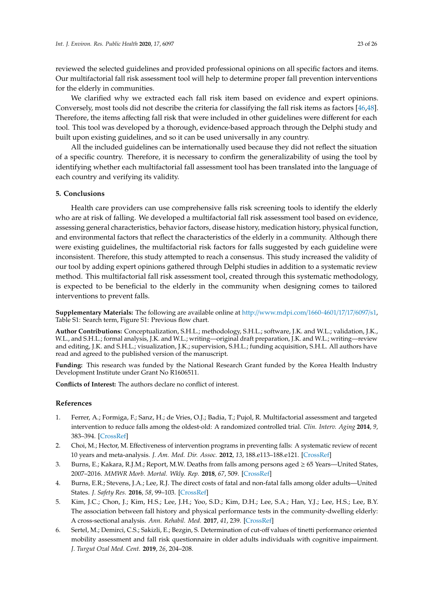reviewed the selected guidelines and provided professional opinions on all specific factors and items. Our multifactorial fall risk assessment tool will help to determine proper fall prevention interventions for the elderly in communities.

We clarified why we extracted each fall risk item based on evidence and expert opinions. Conversely, most tools did not describe the criteria for classifying the fall risk items as factors [\[46,](#page-24-19)[48\]](#page-25-1). Therefore, the items affecting fall risk that were included in other guidelines were different for each tool. This tool was developed by a thorough, evidence-based approach through the Delphi study and built upon existing guidelines, and so it can be used universally in any country.

All the included guidelines can be internationally used because they did not reflect the situation of a specific country. Therefore, it is necessary to confirm the generalizability of using the tool by identifying whether each multifactorial fall assessment tool has been translated into the language of each country and verifying its validity.

## **5. Conclusions**

Health care providers can use comprehensive falls risk screening tools to identify the elderly who are at risk of falling. We developed a multifactorial fall risk assessment tool based on evidence, assessing general characteristics, behavior factors, disease history, medication history, physical function, and environmental factors that reflect the characteristics of the elderly in a community. Although there were existing guidelines, the multifactorial risk factors for falls suggested by each guideline were inconsistent. Therefore, this study attempted to reach a consensus. This study increased the validity of our tool by adding expert opinions gathered through Delphi studies in addition to a systematic review method. This multifactorial fall risk assessment tool, created through this systematic methodology, is expected to be beneficial to the elderly in the community when designing comes to tailored interventions to prevent falls.

**Supplementary Materials:** The following are available online at http://[www.mdpi.com](http://www.mdpi.com/1660-4601/17/17/6097/s1)/1660-4601/17/17/6097/s1, Table S1: Search term, Figure S1: Previous flow chart.

**Author Contributions:** Conceptualization, S.H.L.; methodology, S.H.L.; software, J.K. and W.L.; validation, J.K., W.L., and S.H.L.; formal analysis, J.K. and W.L.; writing—original draft preparation, J.K. and W.L.; writing—review and editing, J.K. and S.H.L.; visualization, J.K.; supervision, S.H.L.; funding acquisition, S.H.L. All authors have read and agreed to the published version of the manuscript.

**Funding:** This research was funded by the National Research Grant funded by the Korea Health Industry Development Institute under Grant No R1606511.

**Conflicts of Interest:** The authors declare no conflict of interest.

### **References**

- <span id="page-22-0"></span>1. Ferrer, A.; Formiga, F.; Sanz, H.; de Vries, O.J.; Badia, T.; Pujol, R. Multifactorial assessment and targeted intervention to reduce falls among the oldest-old: A randomized controlled trial. *Clin. Interv. Aging* **2014**, *9*, 383–394. [\[CrossRef\]](http://dx.doi.org/10.2147/CIA.S57580)
- <span id="page-22-1"></span>2. Choi, M.; Hector, M. Effectiveness of intervention programs in preventing falls: A systematic review of recent 10 years and meta-analysis. *J. Am. Med. Dir. Assoc.* **2012**, *13*, 188.e113–188.e121. [\[CrossRef\]](http://dx.doi.org/10.1016/j.jamda.2011.04.022)
- <span id="page-22-2"></span>3. Burns, E.; Kakara, R.J.M.; Report, M.W. Deaths from falls among persons aged ≥ 65 Years—United States, 2007–2016. *MMWR Morb. Mortal. Wkly. Rep.* **2018**, *67*, 509. [\[CrossRef\]](http://dx.doi.org/10.15585/mmwr.mm6718a1)
- <span id="page-22-3"></span>4. Burns, E.R.; Stevens, J.A.; Lee, R.J. The direct costs of fatal and non-fatal falls among older adults—United States. *J. Safety Res.* **2016**, *58*, 99–103. [\[CrossRef\]](http://dx.doi.org/10.1016/j.jsr.2016.05.001)
- <span id="page-22-4"></span>5. Kim, J.C.; Chon, J.; Kim, H.S.; Lee, J.H.; Yoo, S.D.; Kim, D.H.; Lee, S.A.; Han, Y.J.; Lee, H.S.; Lee, B.Y. The association between fall history and physical performance tests in the community-dwelling elderly: A cross-sectional analysis. *Ann. Rehabil. Med.* **2017**, *41*, 239. [\[CrossRef\]](http://dx.doi.org/10.5535/arm.2017.41.2.239)
- <span id="page-22-5"></span>6. Sertel, M.; Demirci, C.S.; Sakizli, E.; Bezgin, S. Determination of cut-off values of tinetti performance oriented mobility assessment and fall risk questionnaire in older adults individuals with cognitive impairment. *J. Turgut Ozal Med. Cent.* **2019**, *26*, 204–208.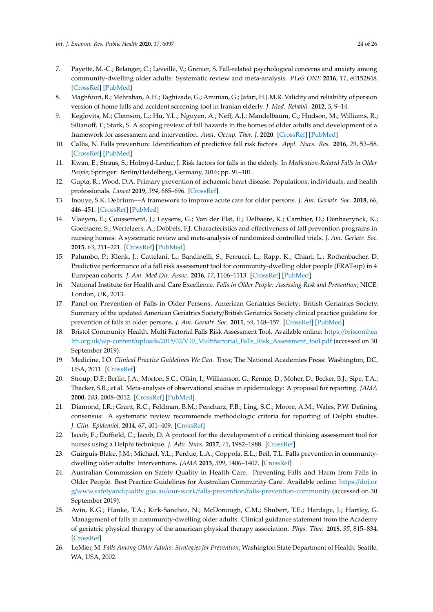- <span id="page-23-0"></span>7. Payette, M.-C.; Belanger, C.; Léveillé, V.; Grenier, S. Fall-related psychological concerns and anxiety among community-dwelling older adults: Systematic review and meta-analysis. *PLoS ONE* **2016**, *11*, e0152848. [\[CrossRef\]](http://dx.doi.org/10.1371/journal.pone.0152848) [\[PubMed\]](http://www.ncbi.nlm.nih.gov/pubmed/27043139)
- <span id="page-23-1"></span>8. Maghfouri, B.; Mehraban, A.H.; Taghizade, G.; Aminian, G.; Jafari, H.J.M.R. Validity and reliability of persion version of home falls and accident screening tool in Iranian elderly. *J. Mod. Rehabil.* **2012**, *5*, 9–14.
- <span id="page-23-2"></span>9. Keglovits, M.; Clemson, L.; Hu, Y.L.; Nguyen, A.; Neff, A.J.; Mandelbaum, C.; Hudson, M.; Williams, R.; Silianoff, T.; Stark, S. A scoping review of fall hazards in the homes of older adults and development of a framework for assessment and intervention. *Aust. Occup. Ther. J.* **2020**. [\[CrossRef\]](http://dx.doi.org/10.1111/1440-1630.12682) [\[PubMed\]](http://www.ncbi.nlm.nih.gov/pubmed/32648268)
- <span id="page-23-3"></span>10. Callis, N. Falls prevention: Identification of predictive fall risk factors. *Appl. Nurs. Res.* **2016**, *29*, 53–58. [\[CrossRef\]](http://dx.doi.org/10.1016/j.apnr.2015.05.007) [\[PubMed\]](http://www.ncbi.nlm.nih.gov/pubmed/26856489)
- <span id="page-23-4"></span>11. Kwan, E.; Straus, S.; Holroyd-Leduc, J. Risk factors for falls in the elderly. In *Medication-Related Falls in Older People*; Springer: Berlin/Heidelberg, Germany, 2016; pp. 91–101.
- <span id="page-23-5"></span>12. Gupta, R.; Wood, D.A. Primary prevention of ischaemic heart disease: Populations, individuals, and health professionals. *Lancet* **2019**, *394*, 685–696. [\[CrossRef\]](http://dx.doi.org/10.1016/S0140-6736(19)31893-8)
- <span id="page-23-6"></span>13. Inouye, S.K. Delirium—A framework to improve acute care for older persons. *J. Am. Geriatr. Soc.* **2018**, *66*, 446–451. [\[CrossRef\]](http://dx.doi.org/10.1111/jgs.15296) [\[PubMed\]](http://www.ncbi.nlm.nih.gov/pubmed/29473940)
- <span id="page-23-7"></span>14. Vlaeyen, E.; Coussement, J.; Leysens, G.; Van der Elst, E.; Delbaere, K.; Cambier, D.; Denhaerynck, K.; Goemaere, S.; Wertelaers, A.; Dobbels, F.J. Characteristics and effectiveness of fall prevention programs in nursing homes: A systematic review and meta-analysis of randomized controlled trials. *J. Am. Geriatr. Soc.* **2015**, *63*, 211–221. [\[CrossRef\]](http://dx.doi.org/10.1111/jgs.13254) [\[PubMed\]](http://www.ncbi.nlm.nih.gov/pubmed/25641225)
- <span id="page-23-8"></span>15. Palumbo, P.; Klenk, J.; Cattelani, L.; Bandinelli, S.; Ferrucci, L.; Rapp, K.; Chiari, L.; Rothenbacher, D. Predictive performance of a fall risk assessment tool for community-dwelling older people (FRAT-up) in 4 European cohorts. *J. Am. Med Dir. Assoc.* **2016**, *17*, 1106–1113. [\[CrossRef\]](http://dx.doi.org/10.1016/j.jamda.2016.07.015) [\[PubMed\]](http://www.ncbi.nlm.nih.gov/pubmed/27594522)
- <span id="page-23-9"></span>16. National Institute for Health and Care Excellence. *Falls in Older People: Assessing Risk and Prevention*; NICE: London, UK, 2013.
- 17. Panel on Prevention of Falls in Older Persons, American Geriatrics Society; British Geriatrics Society. Summary of the updated American Geriatrics Society/British Geriatrics Society clinical practice guideline for prevention of falls in older persons. *J. Am. Geriatr. Soc.* **2011**, *59*, 148–157. [\[CrossRef\]](http://dx.doi.org/10.1111/j.1532-5415.2010.03234.x) [\[PubMed\]](http://www.ncbi.nlm.nih.gov/pubmed/21226685)
- <span id="page-23-10"></span>18. Bristol Community Health. Multi Factorial Falls Risk Assessment Tool. Available online: https://[briscomhea](https://briscomhealth.org.uk/wp-content/uploads/2015/02/V10_Multifactorial_Falls_Risk_Assessment_tool.pdf) lth.org.uk/wp-content/uploads/2015/02/[V10\\_Multifactorial\\_Falls\\_Risk\\_Assessment\\_tool.pdf](https://briscomhealth.org.uk/wp-content/uploads/2015/02/V10_Multifactorial_Falls_Risk_Assessment_tool.pdf) (accessed on 30 September 2019).
- <span id="page-23-11"></span>19. Medicine, I.O. *Clinical Practice Guidelines We Can. Trust*; The National Academies Press: Washington, DC, USA, 2011. [\[CrossRef\]](http://dx.doi.org/10.17226/13058pp.290)
- <span id="page-23-12"></span>20. Stroup, D.F.; Berlin, J.A.; Morton, S.C.; Olkin, I.; Williamson, G.; Rennie, D.; Moher, D.; Becker, B.J.; Sipe, T.A.; Thacker, S.B.; et al. Meta-analysis of observational studies in epidemiology: A proposal for reporting. *JAMA* **2000**, *283*, 2008–2012. [\[CrossRef\]](http://dx.doi.org/10.1001/jama.283.15.2008) [\[PubMed\]](http://www.ncbi.nlm.nih.gov/pubmed/10789670)
- <span id="page-23-13"></span>21. Diamond, I.R.; Grant, R.C.; Feldman, B.M.; Pencharz, P.B.; Ling, S.C.; Moore, A.M.; Wales, P.W. Defining consensus: A systematic review recommends methodologic criteria for reporting of Delphi studies. *J. Clin. Epidemiol.* **2014**, *67*, 401–409. [\[CrossRef\]](http://dx.doi.org/10.1016/j.jclinepi.2013.12.002)
- <span id="page-23-14"></span>22. Jacob, E.; Duffield, C.; Jacob, D. A protocol for the development of a critical thinking assessment tool for nurses using a Delphi technique. *J. Adv. Nurs.* **2017**, *73*, 1982–1988. [\[CrossRef\]](http://dx.doi.org/10.1111/jan.13306)
- <span id="page-23-15"></span>23. Guirguis-Blake, J.M.; Michael, Y.L.; Perdue, L.A.; Coppola, E.L.; Beil, T.L. Falls prevention in communitydwelling older adults: Interventions. *JAMA* **2013**, *309*, 1406–1407. [\[CrossRef\]](http://dx.doi.org/10.1001/jama.2013.3130)
- <span id="page-23-16"></span>24. Australian Commission on Safety Quality in Health Care. Preventing Falls and Harm from Falls in Older People. Best Practice Guidelines for Australian Community Care. Available online: https://[doi.or](https://doi.org/www.safetyandquality.gov.au/our-work/falls-prevention/falls-prevention-community) g/[www.safetyandquality.gov.au](https://doi.org/www.safetyandquality.gov.au/our-work/falls-prevention/falls-prevention-community)/our-work/falls-prevention/falls-prevention-community (accessed on 30 September 2019).
- <span id="page-23-17"></span>25. Avin, K.G.; Hanke, T.A.; Kirk-Sanchez, N.; McDonough, C.M.; Shubert, T.E.; Hardage, J.; Hartley, G. Management of falls in community-dwelling older adults: Clinical guidance statement from the Academy of geriatric physical therapy of the american physical therapy association. *Phys. Ther.* **2015**, *95*, 815–834. [\[CrossRef\]](http://dx.doi.org/10.2522/ptj.20140415)
- <span id="page-23-18"></span>26. LeMier, M. *Falls Among Older Adults: Strategies for Prevention*; Washington State Department of Health: Seattle, WA, USA, 2002.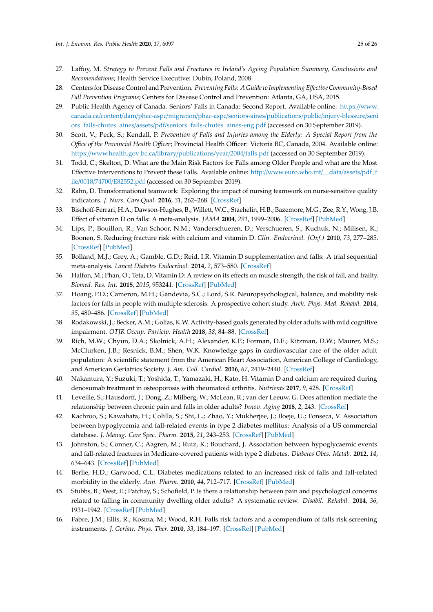- <span id="page-24-3"></span>27. Laffoy, M. *Strategy to Prevent Falls and Fractures in Ireland's Ageing Population Summary, Conclusions and Recomendations*; Health Service Executive: Dubin, Poland, 2008.
- <span id="page-24-4"></span>28. Centers for Disease Control and Prevention. *Preventing Falls: A Guide to Implementing E*ff*ective Community-Based Fall Prevention Programs*; Centers for Disease Control and Prevention: Atlanta, GA, USA, 2015.
- <span id="page-24-1"></span>29. Public Health Agency of Canada. Seniors' Falls in Canada: Second Report. Available online: https://[www.](https://www.canada.ca/content/dam/phac-aspc/migration/phac-aspc/seniors-aines/publications/public/injury-blessure/seniors_falls-chutes_aines/assets/pdf/seniors_falls-chutes_aines-eng.pdf) canada.ca/content/dam/phac-aspc/migration/phac-aspc/seniors-aines/publications/public/[injury-blessure](https://www.canada.ca/content/dam/phac-aspc/migration/phac-aspc/seniors-aines/publications/public/injury-blessure/seniors_falls-chutes_aines/assets/pdf/seniors_falls-chutes_aines-eng.pdf)/seni ors\_falls-chutes\_aines/assets/pdf/[seniors\\_falls-chutes\\_aines-eng.pdf](https://www.canada.ca/content/dam/phac-aspc/migration/phac-aspc/seniors-aines/publications/public/injury-blessure/seniors_falls-chutes_aines/assets/pdf/seniors_falls-chutes_aines-eng.pdf) (accessed on 30 September 2019).
- <span id="page-24-2"></span>30. Scott, V.; Peck, S.; Kendall, P. *Prevention of Falls and Injuries among the Elderly: A Special Report from the O*ffi*ce of the Provincial Health O*ffi*cer*; Provincial Health Officer: Victoria BC, Canada, 2004. Available online: https://[www.health.gov.bc.ca](https://www.health.gov.bc.ca/library/publications/year/2004/falls.pdf)/library/publications/year/2004/falls.pdf (accessed on 30 September 2019).
- <span id="page-24-0"></span>31. Todd, C.; Skelton, D. What are the Main Risk Factors for Falls among Older People and what are the Most Effective Interventions to Prevent these Falls. Available online: http://[www.euro.who.int](http://www.euro.who.int/__data/assets/pdf_file/0018/74700/E82552.pdf)/\_\_data/assets/pdf\_f ile/0018/74700/[E82552.pdf](http://www.euro.who.int/__data/assets/pdf_file/0018/74700/E82552.pdf) (accessed on 30 September 2019).
- <span id="page-24-5"></span>32. Rahn, D. Transformational teamwork: Exploring the impact of nursing teamwork on nurse-sensitive quality indicators. *J. Nurs. Care Qual.* **2016**, *31*, 262–268. [\[CrossRef\]](http://dx.doi.org/10.1097/NCQ.0000000000000173)
- <span id="page-24-6"></span>33. Bischoff-Ferrari, H.A.; Dawson-Hughes, B.; Willett, W.C.; Staehelin, H.B.; Bazemore, M.G.; Zee, R.Y.; Wong, J.B. Effect of vitamin D on falls: A meta-analysis. *JAMA* **2004**, *291*, 1999–2006. [\[CrossRef\]](http://dx.doi.org/10.1001/jama.291.16.1999) [\[PubMed\]](http://www.ncbi.nlm.nih.gov/pubmed/15113819)
- <span id="page-24-7"></span>34. Lips, P.; Bouillon, R.; Van Schoor, N.M.; Vanderschueren, D.; Verschueren, S.; Kuchuk, N.; Milisen, K.; Boonen, S. Reducing fracture risk with calcium and vitamin D. *Clin. Endocrinol. (Oxf.)* **2010**, *73*, 277–285. [\[CrossRef\]](http://dx.doi.org/10.1111/j.1365-2265.2009.03701.x) [\[PubMed\]](http://www.ncbi.nlm.nih.gov/pubmed/20796001)
- <span id="page-24-8"></span>35. Bolland, M.J.; Grey, A.; Gamble, G.D.; Reid, I.R. Vitamin D supplementation and falls: A trial sequential meta-analysis. *Lancet Diabetes Endocrinol.* **2014**, *2*, 573–580. [\[CrossRef\]](http://dx.doi.org/10.1016/S2213-8587(14)70068-3)
- <span id="page-24-9"></span>36. Halfon, M.; Phan, O.; Teta, D. Vitamin D: A review on its effects on muscle strength, the risk of fall, and frailty. *Biomed. Res. Int.* **2015**, *2015*, 953241. [\[CrossRef\]](http://dx.doi.org/10.1155/2015/953241) [\[PubMed\]](http://www.ncbi.nlm.nih.gov/pubmed/26000306)
- <span id="page-24-10"></span>37. Hoang, P.D.; Cameron, M.H.; Gandevia, S.C.; Lord, S.R. Neuropsychological, balance, and mobility risk factors for falls in people with multiple sclerosis: A prospective cohort study. *Arch. Phys. Med. Rehabil.* **2014**, *95*, 480–486. [\[CrossRef\]](http://dx.doi.org/10.1016/j.apmr.2013.09.017) [\[PubMed\]](http://www.ncbi.nlm.nih.gov/pubmed/24096187)
- <span id="page-24-11"></span>38. Rodakowski, J.; Becker, A.M.; Golias, K.W. Activity-based goals generated by older adults with mild cognitive impairment. *OTJR Occup. Particip. Health* **2018**, *38*, 84–88. [\[CrossRef\]](http://dx.doi.org/10.1177/1539449217751357)
- <span id="page-24-12"></span>39. Rich, M.W.; Chyun, D.A.; Skolnick, A.H.; Alexander, K.P.; Forman, D.E.; Kitzman, D.W.; Maurer, M.S.; McClurken, J.B.; Resnick, B.M.; Shen, W.K. Knowledge gaps in cardiovascular care of the older adult population: A scientific statement from the American Heart Association, American College of Cardiology, and American Geriatrics Society. *J. Am. Coll. Cardiol.* **2016**, *67*, 2419–2440. [\[CrossRef\]](http://dx.doi.org/10.1016/j.jacc.2016.03.004)
- <span id="page-24-13"></span>40. Nakamura, Y.; Suzuki, T.; Yoshida, T.; Yamazaki, H.; Kato, H. Vitamin D and calcium are required during denosumab treatment in osteoporosis with rheumatoid arthritis. *Nutrients* **2017**, *9*, 428. [\[CrossRef\]](http://dx.doi.org/10.3390/nu9050428)
- <span id="page-24-17"></span>41. Leveille, S.; Hausdorff, J.; Dong, Z.; Milberg, W.; McLean, R.; van der Leeuw, G. Does attention mediate the relationship between chronic pain and falls in older adults? *Innov. Aging* **2018**, *2*, 243. [\[CrossRef\]](http://dx.doi.org/10.1093/geroni/igy023.909)
- <span id="page-24-14"></span>42. Kachroo, S.; Kawabata, H.; Colilla, S.; Shi, L.; Zhao, Y.; Mukherjee, J.; Iloeje, U.; Fonseca, V. Association between hypoglycemia and fall-related events in type 2 diabetes mellitus: Analysis of a US commercial database. *J. Manag. Care Spec. Pharm.* **2015**, *21*, 243–253. [\[CrossRef\]](http://dx.doi.org/10.18553/jmcp.2015.21.3.243) [\[PubMed\]](http://www.ncbi.nlm.nih.gov/pubmed/25726033)
- <span id="page-24-15"></span>43. Johnston, S.; Conner, C.; Aagren, M.; Ruiz, K.; Bouchard, J. Association between hypoglycaemic events and fall-related fractures in Medicare-covered patients with type 2 diabetes. *Diabetes Obes. Metab.* **2012**, *14*, 634–643. [\[CrossRef\]](http://dx.doi.org/10.1111/j.1463-1326.2012.01583.x) [\[PubMed\]](http://www.ncbi.nlm.nih.gov/pubmed/22335246)
- <span id="page-24-16"></span>44. Berlie, H.D.; Garwood, C.L. Diabetes medications related to an increased risk of falls and fall-related morbidity in the elderly. *Ann. Pharm.* **2010**, *44*, 712–717. [\[CrossRef\]](http://dx.doi.org/10.1345/aph.1M551) [\[PubMed\]](http://www.ncbi.nlm.nih.gov/pubmed/20215495)
- <span id="page-24-18"></span>45. Stubbs, B.; West, E.; Patchay, S.; Schofield, P. Is there a relationship between pain and psychological concerns related to falling in community dwelling older adults? A systematic review. *Disabil. Rehabil.* **2014**, *36*, 1931–1942. [\[CrossRef\]](http://dx.doi.org/10.3109/09638288.2014.882419) [\[PubMed\]](http://www.ncbi.nlm.nih.gov/pubmed/24467675)
- <span id="page-24-19"></span>46. Fabre, J.M.; Ellis, R.; Kosma, M.; Wood, R.H. Falls risk factors and a compendium of falls risk screening instruments. *J. Geriatr. Phys. Ther.* **2010**, *33*, 184–197. [\[CrossRef\]](http://dx.doi.org/10.1519/JPT.0b013e3181ff2a24) [\[PubMed\]](http://www.ncbi.nlm.nih.gov/pubmed/21717922)